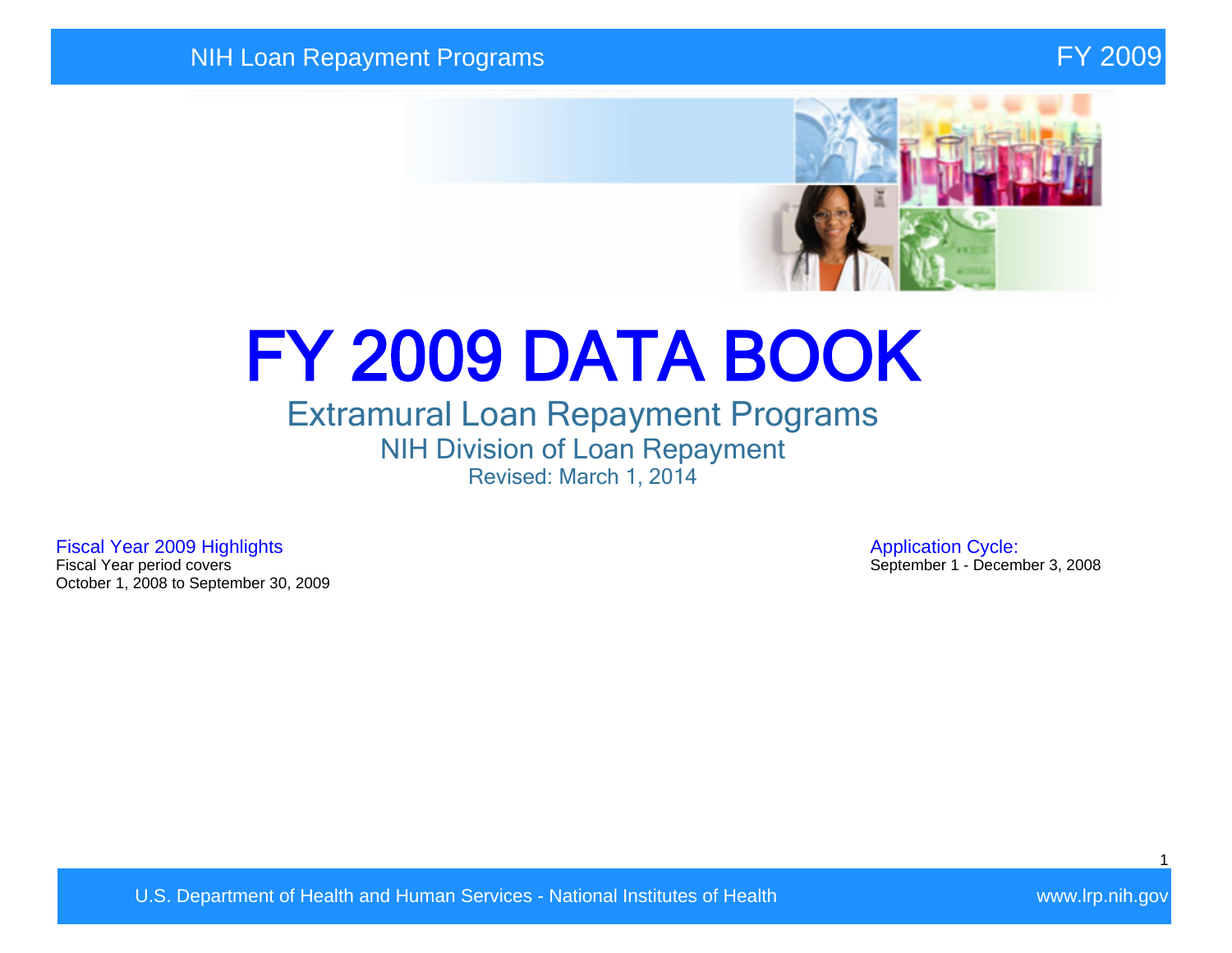

# FY 2009 DATA BOOK

## Extramural Loan Repayment Programs NIH Division of Loan Repayment Revised: March 1, 2014

Fiscal Year 2009 Highlights **Application Cycle:**<br>Fiscal Year period covers **Application Cycle:**<br>September 1 - Decem October 1, 2008 to September 30, 2009

September 1 - December 3, 2008

U.S. Department of Health and Human Services - National Institutes of Health Walles and Wave Wave Irp.nih.gov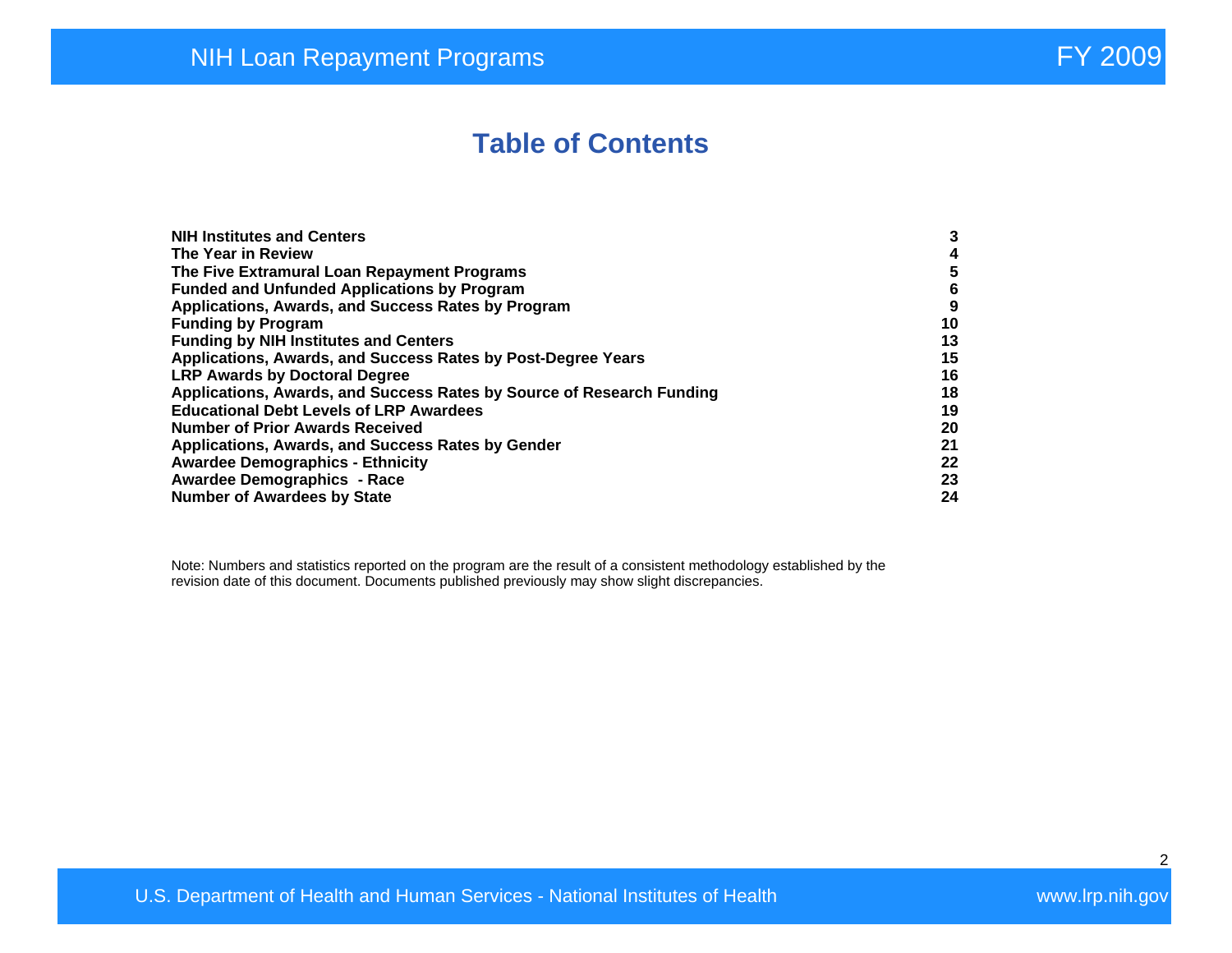## **Table of Contents**

| <b>NIH Institutes and Centers</b>                                     | 3  |
|-----------------------------------------------------------------------|----|
| The Year in Review                                                    | 4  |
|                                                                       |    |
| The Five Extramural Loan Repayment Programs                           | 5  |
| <b>Funded and Unfunded Applications by Program</b>                    | 6  |
| Applications, Awards, and Success Rates by Program                    | 9  |
| <b>Funding by Program</b>                                             | 10 |
| <b>Funding by NIH Institutes and Centers</b>                          | 13 |
| Applications, Awards, and Success Rates by Post-Degree Years          | 15 |
| <b>LRP Awards by Doctoral Degree</b>                                  | 16 |
| Applications, Awards, and Success Rates by Source of Research Funding | 18 |
| <b>Educational Debt Levels of LRP Awardees</b>                        | 19 |
| <b>Number of Prior Awards Received</b>                                | 20 |
| Applications, Awards, and Success Rates by Gender                     | 21 |
| <b>Awardee Demographics - Ethnicity</b>                               | 22 |
| <b>Awardee Demographics - Race</b>                                    | 23 |
| <b>Number of Awardees by State</b>                                    | 24 |

Note: Numbers and statistics reported on the program are the result of a consistent methodology established by the revision date of this document. Documents published previously may show slight discrepancies.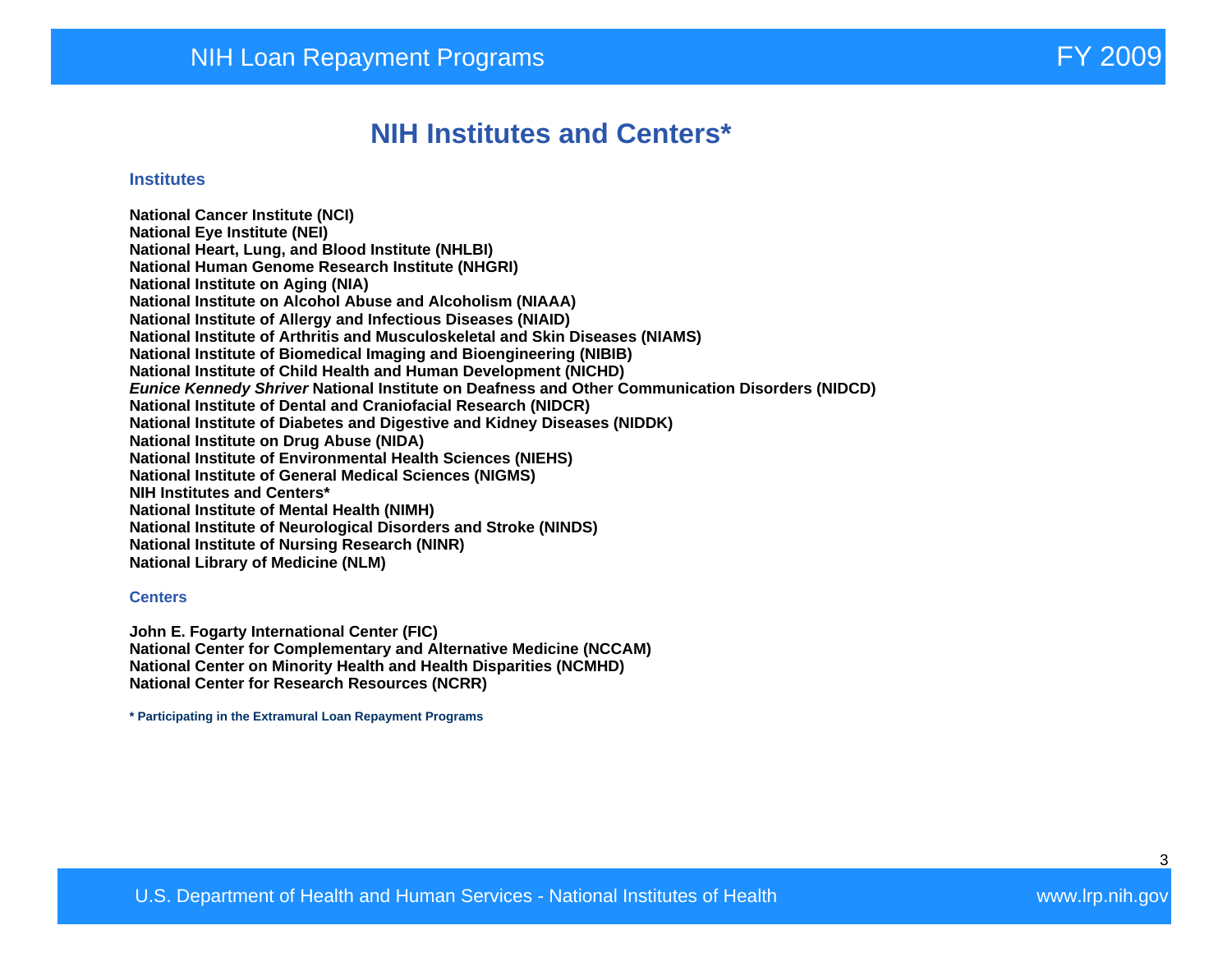#### **NIH Institutes and Centers\***

#### **Institutes**

**National Cancer Institute (NCI) National Eye Institute (NEI) National Heart, Lung, and Blood Institute (NHLBI) National Human Genome Research Institute (NHGRI) National Institute on Aging (NIA) National Institute on Alcohol Abuse and Alcoholism (NIAAA) National Institute of Allergy and Infectious Diseases (NIAID) National Institute of Arthritis and Musculoskeletal and Skin Diseases (NIAMS) National Institute of Biomedical Imaging and Bioengineering (NIBIB) National Institute of Child Health and Human Development (NICHD) Eunice Kennedy Shriver National Institute on Deafness and Other Communication Disorders (NIDCD) National Institute of Dental and Craniofacial Research (NIDCR) National Institute of Diabetes and Digestive and Kidney Diseases (NIDDK) National Institute on Drug Abuse (NIDA) National Institute of Environmental Health Sciences (NIEHS) National Institute of General Medical Sciences (NIGMS) NIH Institutes and Centers\* National Institute of Mental Health (NIMH) National Institute of Neurological Disorders and Stroke (NINDS) National Institute of Nursing Research (NINR) National Library of Medicine (NLM)** 

#### **Centers**

**John E. Fogarty International Center (FIC) National Center for Complementary and Alternative Medicine (NCCAM) National Center on Minority Health and Health Disparities (NCMHD) National Center for Research Resources (NCRR)** 

**\* Participating in the Extramural Loan Repayment Programs**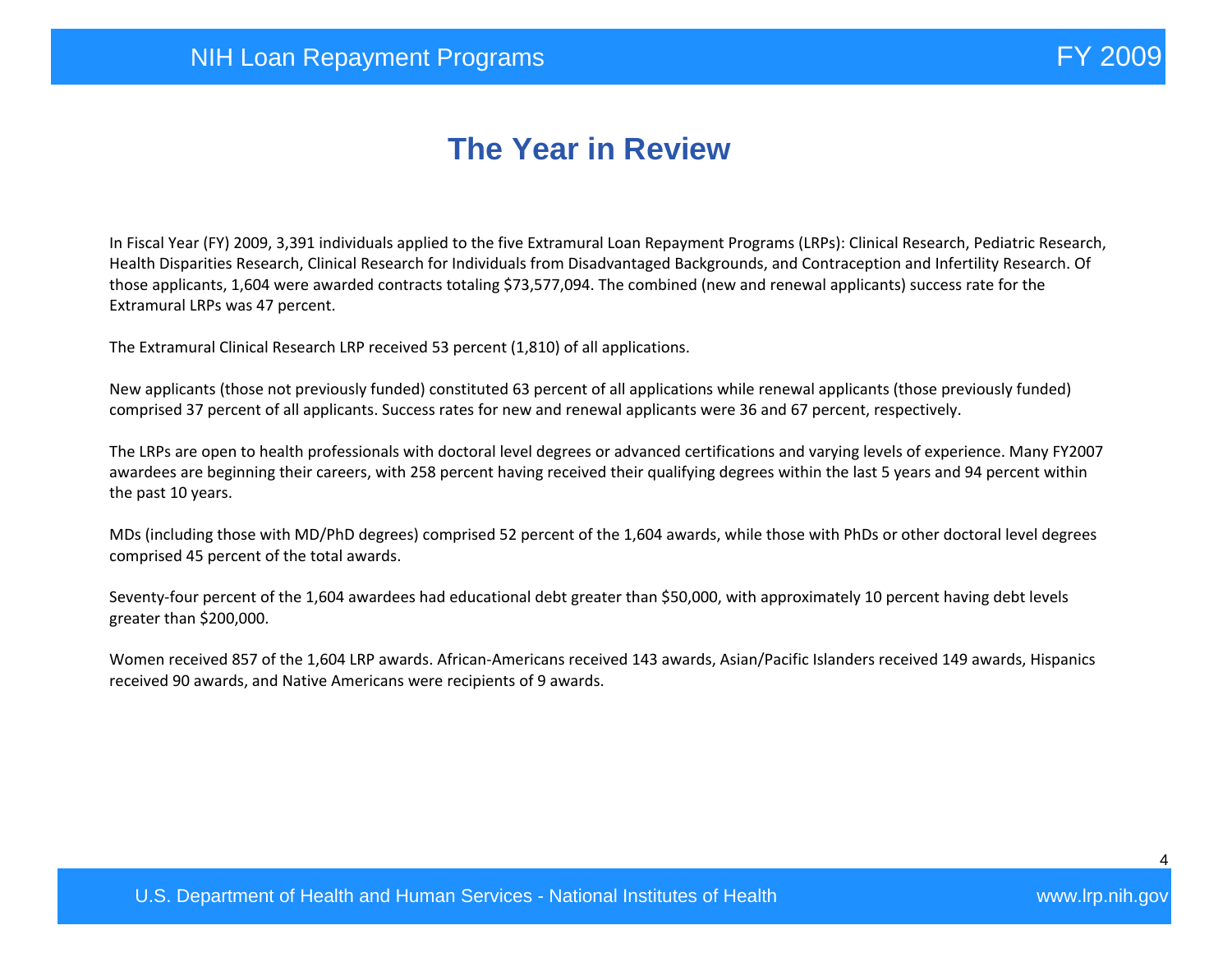# **The Year in Review**

In Fiscal Year (FY) 2009, 3,391 individuals applied to the five Extramural Loan Repayment Programs (LRPs): Clinical Research, Pediatric Research, Health Disparities Research, Clinical Research for Individuals from Disadvantaged Backgrounds, and Contraception and Infertility Research. Of those applicants, 1,604 were awarded contracts totaling \$73,577,094. The combined (new and renewal applicants) success rate for the Extramural LRPs was 47 percent.

The Extramural Clinical Research LRP received 53 percent (1,810) of all applications.

New applicants (those not previously funded) constituted 63 percent of all applications while renewal applicants (those previously funded) comprised 37 percent of all applicants. Success rates for new and renewal applicants were 36 and 67 percent, respectively.

The LRPs are open to health professionals with doctoral level degrees or advanced certifications and varying levels of experience. Many FY2007 awardees are beginning their careers, with 258 percent having received their qualifying degrees within the last 5 years and 94 percent within the past 10 years.

MDs (including those with MD/PhD degrees) comprised 52 percent of the 1,604 awards, while those with PhDs or other doctoral level degrees comprised 45 percent of the total awards.

Seventy-four percent of the 1,604 awardees had educational debt greater than \$50,000, with approximately 10 percent having debt levels greater than \$200,000.

Women received 857 of the 1,604 LRP awards. African-Americans received 143 awards, Asian/Pacific Islanders received 149 awards, Hispanics received 90 awards, and Native Americans were recipients of 9 awards.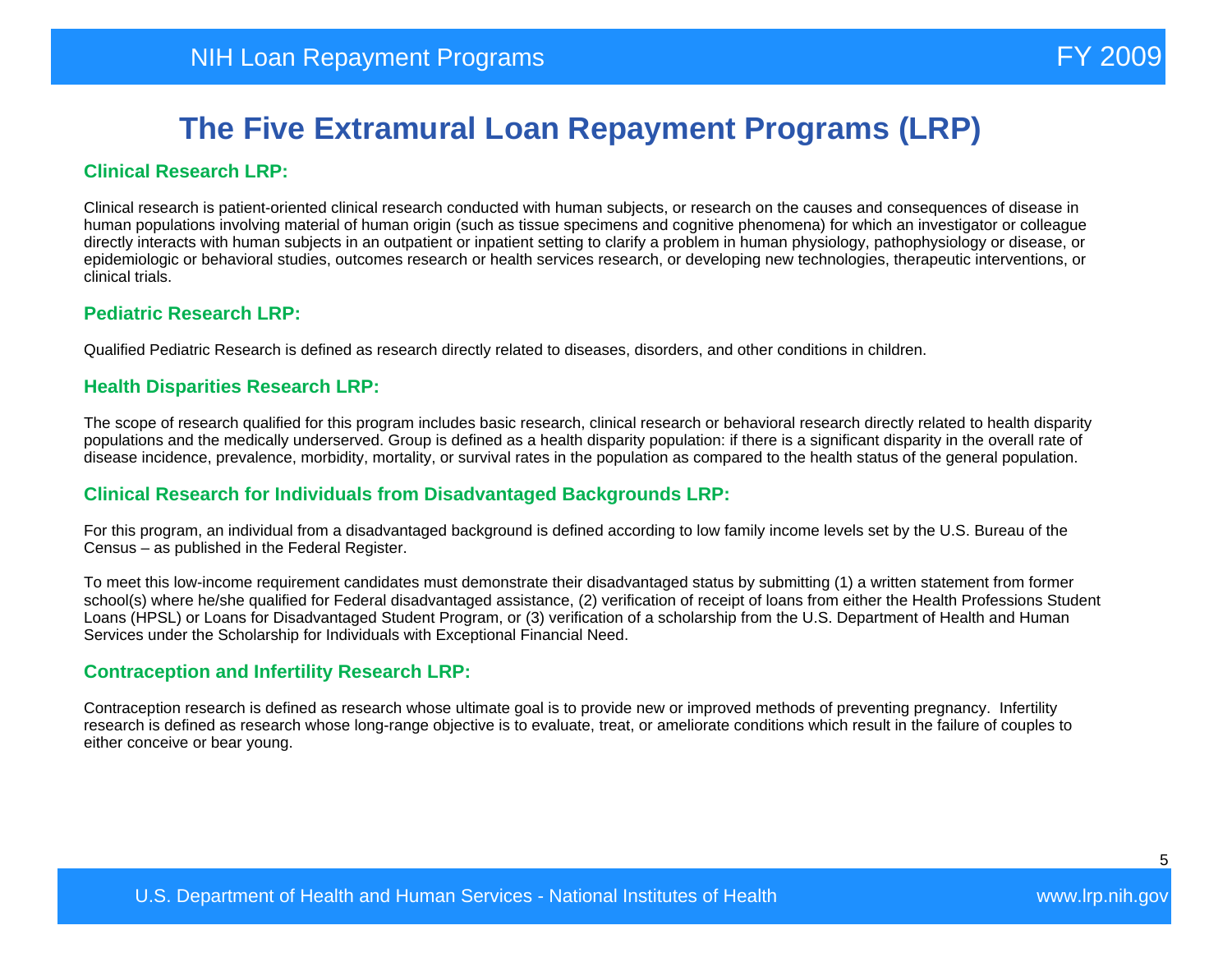#### **Clinical Research LRP:**

Clinical research is patient-oriented clinical research conducted with human subjects, or research on the causes and consequences of disease in human populations involving material of human origin (such as tissue specimens and cognitive phenomena) for which an investigator or colleague directly interacts with human subjects in an outpatient or inpatient setting to clarify a problem in human physiology, pathophysiology or disease, or epidemiologic or behavioral studies, outcomes research or health services research, or developing new technologies, therapeutic interventions, or clinical trials.

#### **Pediatric Research LRP:**

Qualified Pediatric Research is defined as research directly related to diseases, disorders, and other conditions in children.

#### **Health Disparities Research LRP:**

The scope of research qualified for this program includes basic research, clinical research or behavioral research directly related to health disparity populations and the medically underserved. Group is defined as a health disparity population: if there is a significant disparity in the overall rate of disease incidence, prevalence, morbidity, mortality, or survival rates in the population as compared to the health status of the general population.

#### **Clinical Research for Individuals from Disadvantaged Backgrounds LRP:**

For this program, an individual from a disadvantaged background is defined according to low family income levels set by the U.S. Bureau of the Census – as published in the Federal Register.

To meet this low-income requirement candidates must demonstrate their disadvantaged status by submitting (1) a written statement from former school(s) where he/she qualified for Federal disadvantaged assistance, (2) verification of receipt of loans from either the Health Professions Student Loans (HPSL) or Loans for Disadvantaged Student Program, or (3) verification of a scholarship from the U.S. Department of Health and Human Services under the Scholarship for Individuals with Exceptional Financial Need.

#### **Contraception and Infertility Research LRP:**

Contraception research is defined as research whose ultimate goal is to provide new or improved methods of preventing pregnancy. Infertility research is defined as research whose long-range objective is to evaluate, treat, or ameliorate conditions which result in the failure of couples to either conceive or bear young.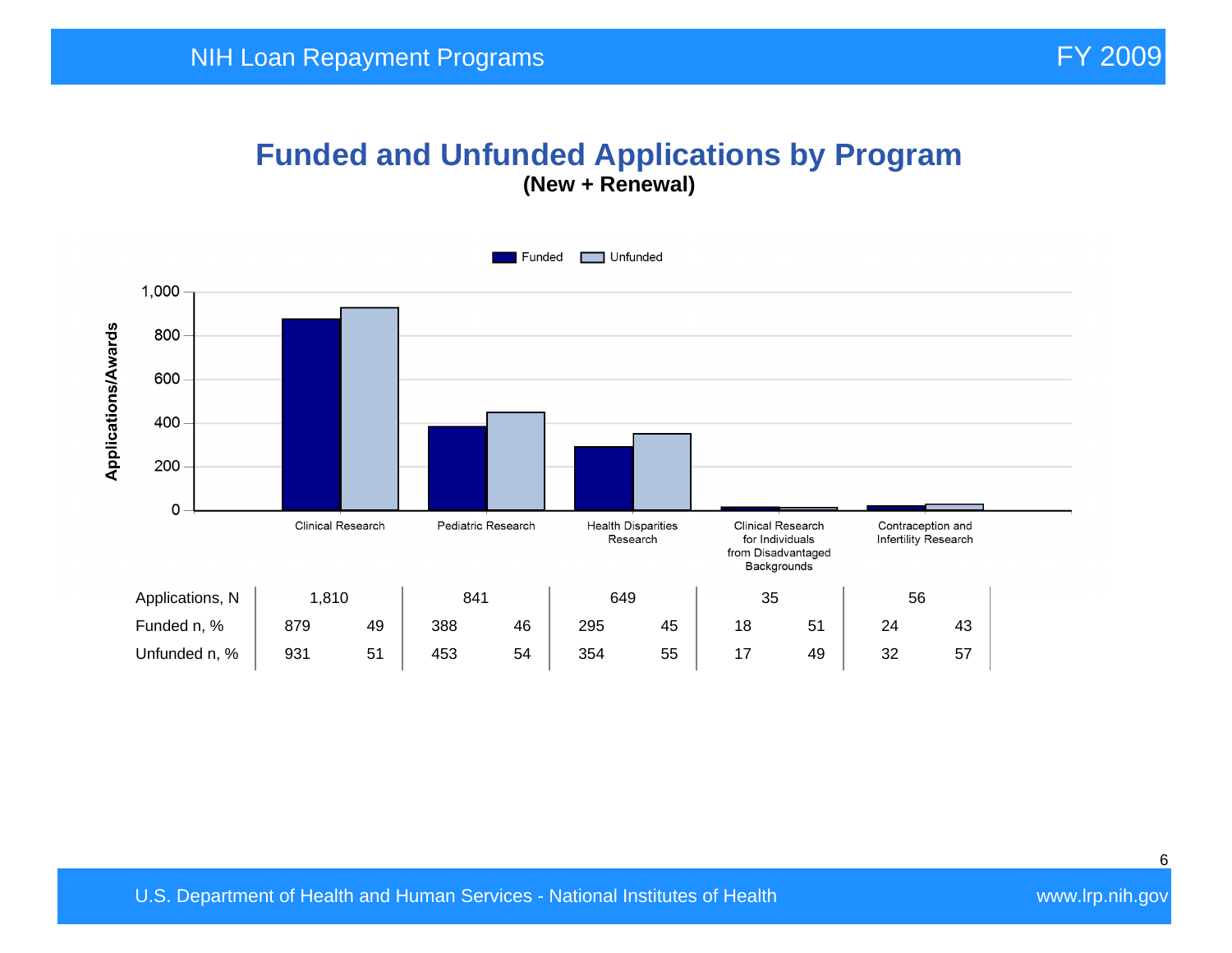#### **Funded and Unfunded Applications by Program (New + Renewal)**

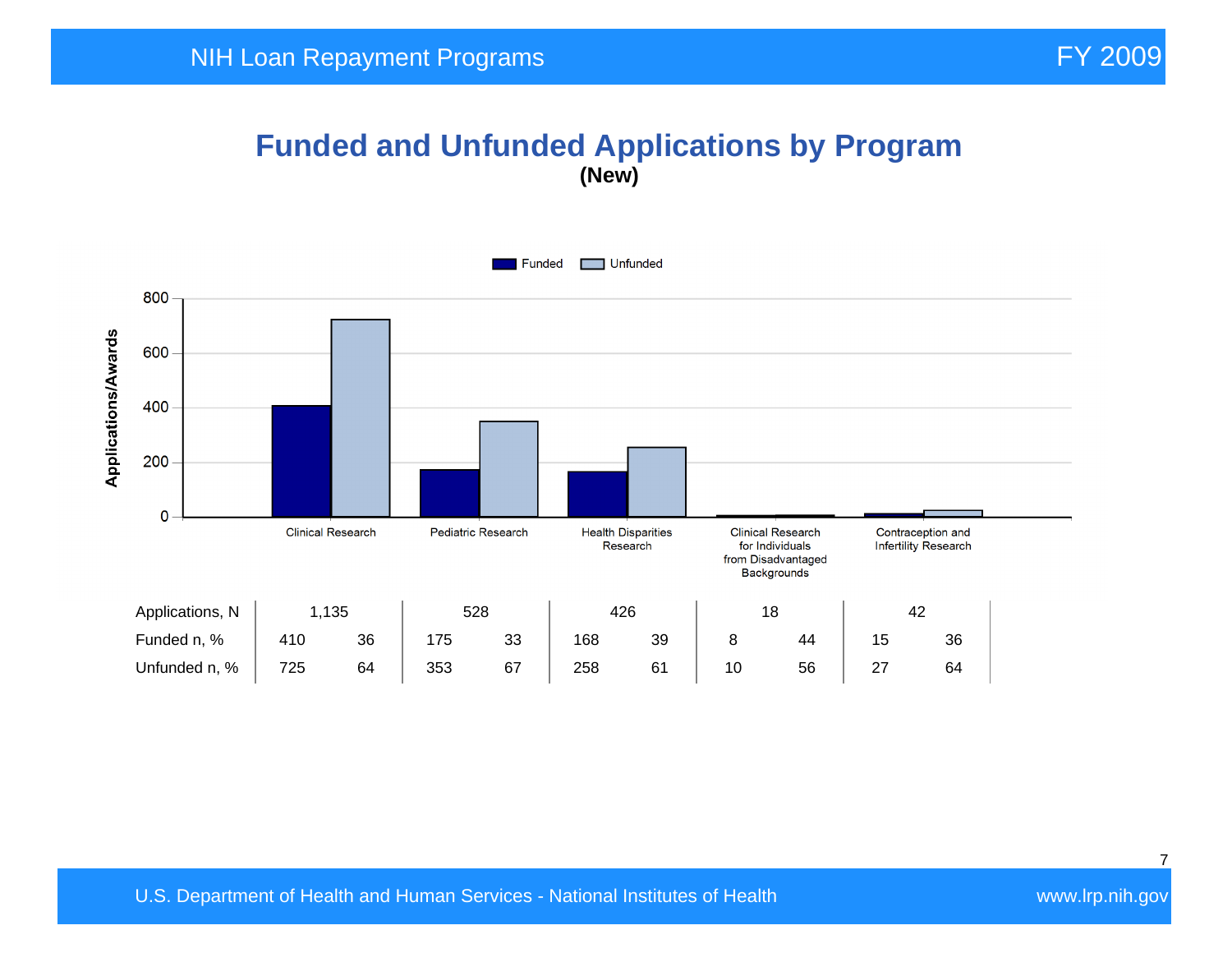## **Funded and Unfunded Applications by Program (New)**

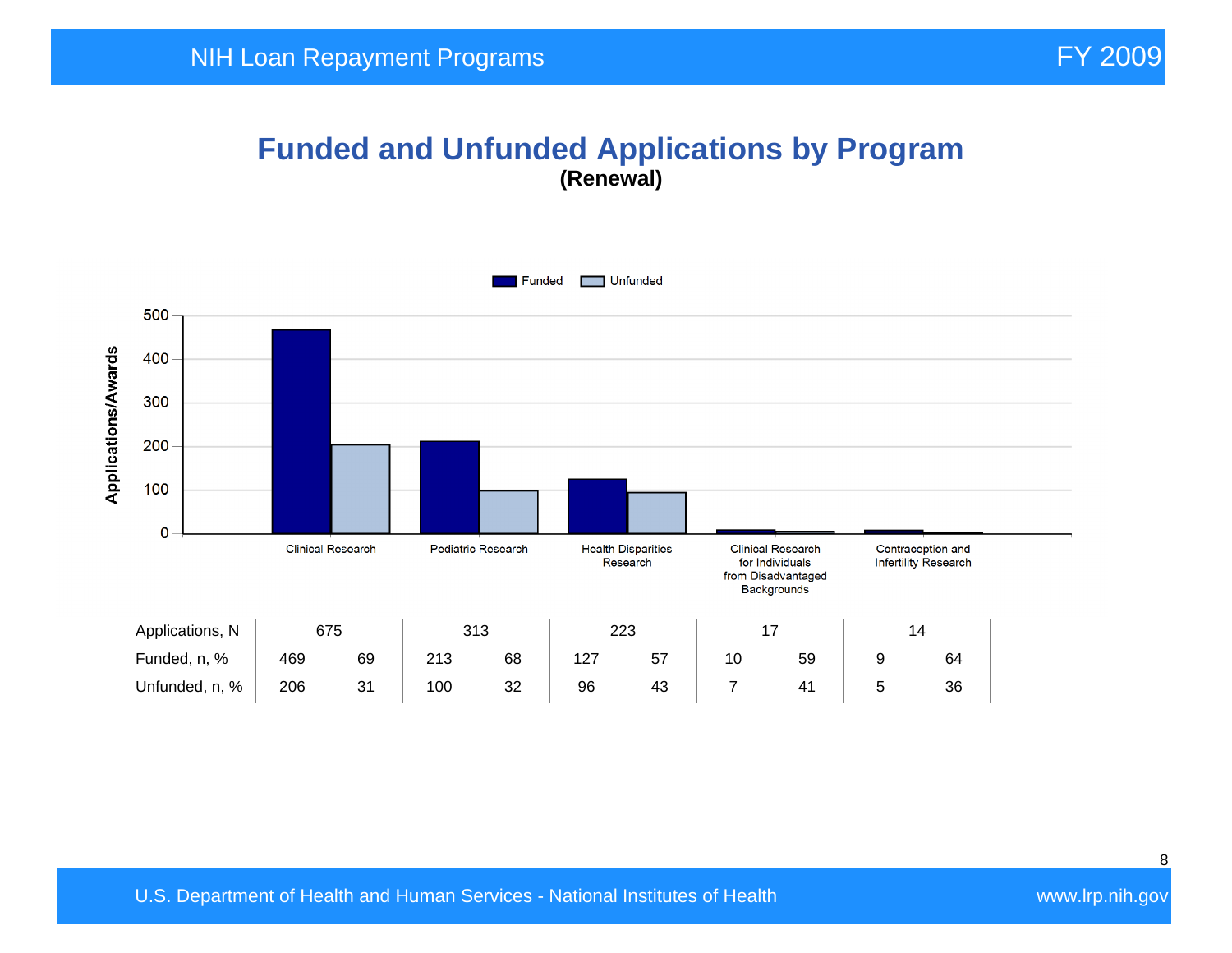#### **Funded and Unfunded Applications by Program (Renewal)**

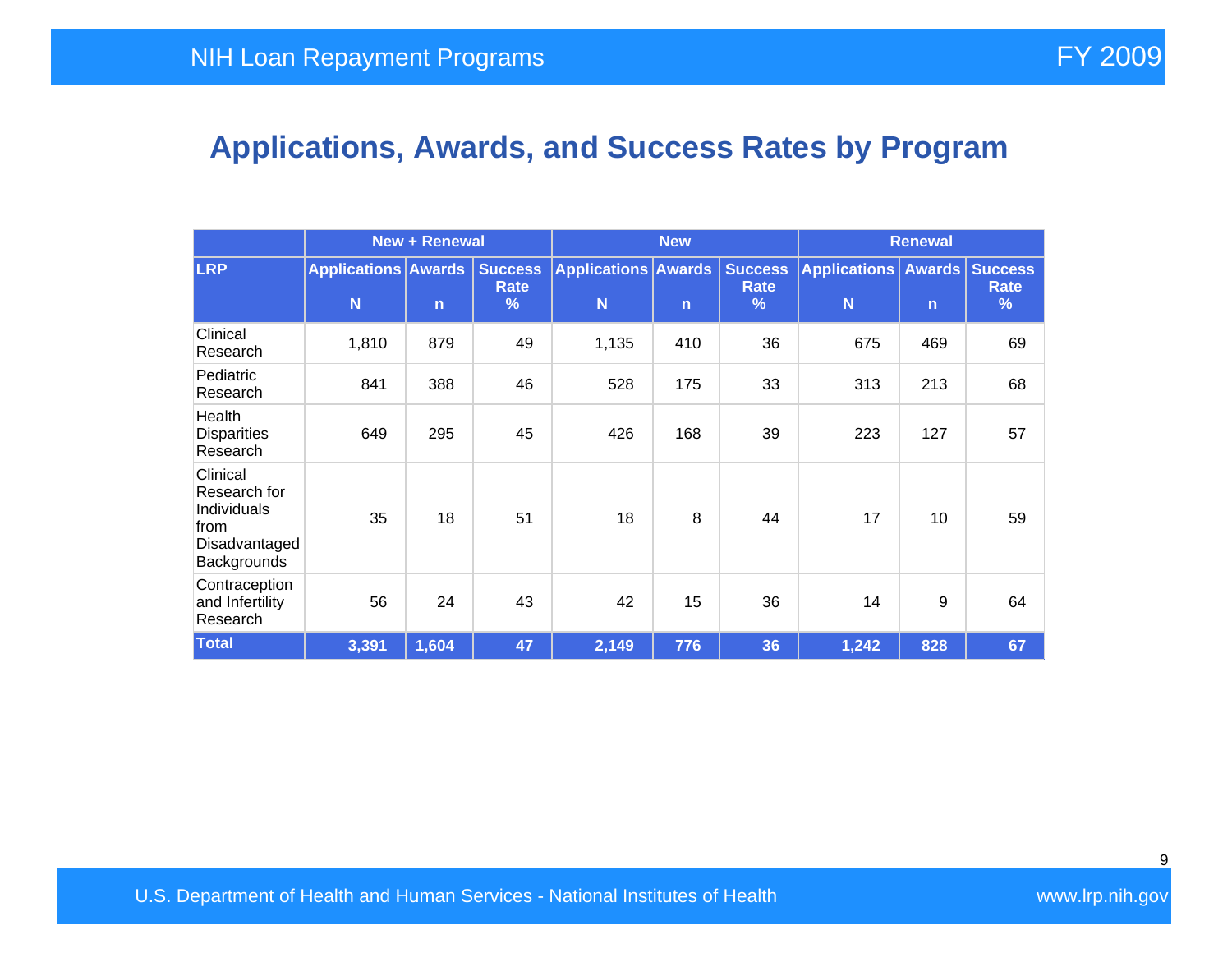# **Applications, Awards, and Success Rates by Program**

|                                                                                 | <b>New + Renewal</b>            |              |                                    | <b>New</b>                      |     |                                                | <b>Renewal</b>           |              |                                    |
|---------------------------------------------------------------------------------|---------------------------------|--------------|------------------------------------|---------------------------------|-----|------------------------------------------------|--------------------------|--------------|------------------------------------|
| <b>LRP</b>                                                                      | <b>Applications Awards</b><br>N | $\mathsf{n}$ | <b>Success</b><br><b>Rate</b><br>% | <b>Applications Awards</b><br>N | n   | <b>Success</b><br><b>Rate</b><br>$\frac{9}{6}$ | <b>Applications</b><br>N | $\mathsf{n}$ | <b>Awards Success</b><br>Rate<br>% |
| Clinical<br>Research                                                            | 1,810                           | 879          | 49                                 | 1,135                           | 410 | 36                                             | 675                      | 469          | 69                                 |
| Pediatric<br>Research                                                           | 841                             | 388          | 46                                 | 528                             | 175 | 33                                             | 313                      | 213          | 68                                 |
| Health<br><b>Disparities</b><br>Research                                        | 649                             | 295          | 45                                 | 426                             | 168 | 39                                             | 223                      | 127          | 57                                 |
| Clinical<br>Research for<br>Individuals<br>from<br>Disadvantaged<br>Backgrounds | 35                              | 18           | 51                                 | 18                              | 8   | 44                                             | 17                       | 10           | 59                                 |
| Contraception<br>and Infertility<br>Research                                    | 56                              | 24           | 43                                 | 42                              | 15  | 36                                             | 14                       | 9            | 64                                 |
| <b>Total</b>                                                                    | 3,391                           | 1,604        | 47                                 | 2,149                           | 776 | 36                                             | 1,242                    | 828          | 67                                 |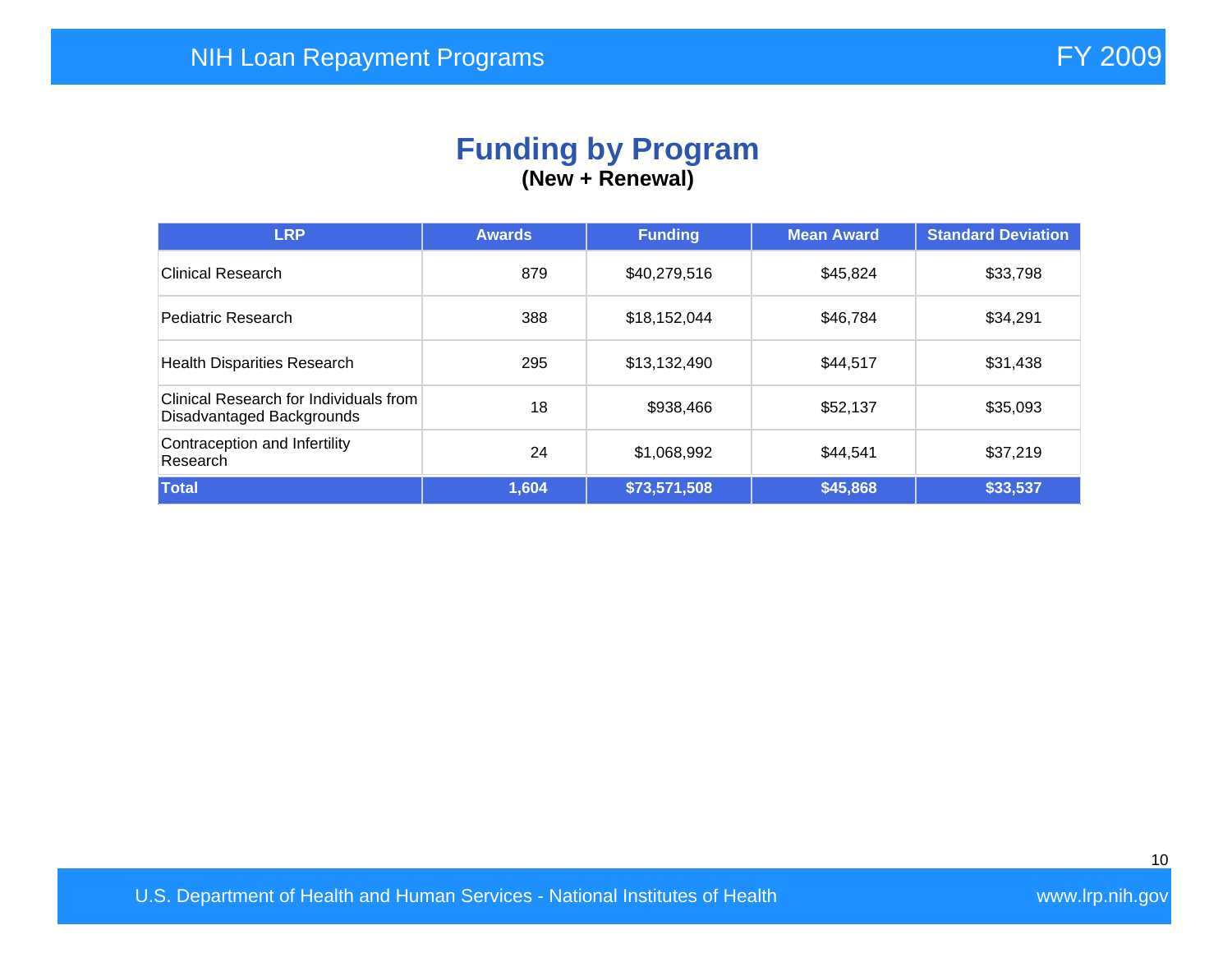#### **Funding by Program (New + Renewal)**

| <b>LRP</b>                                                          | <b>Awards</b> | <b>Funding</b> | <b>Mean Award</b> | <b>Standard Deviation</b> |
|---------------------------------------------------------------------|---------------|----------------|-------------------|---------------------------|
| Clinical Research                                                   | 879           | \$40,279,516   | \$45,824          | \$33,798                  |
| Pediatric Research                                                  | 388           | \$18,152,044   | \$46,784          | \$34,291                  |
| <b>Health Disparities Research</b>                                  | 295           | \$13,132,490   | \$44,517          | \$31,438                  |
| Clinical Research for Individuals from<br>Disadvantaged Backgrounds | 18            | \$938,466      | \$52,137          | \$35,093                  |
| Contraception and Infertility<br>Research                           | 24            | \$1,068,992    | \$44,541          | \$37,219                  |
| Total                                                               | 1,604         | \$73,571,508   | \$45,868          | \$33,537                  |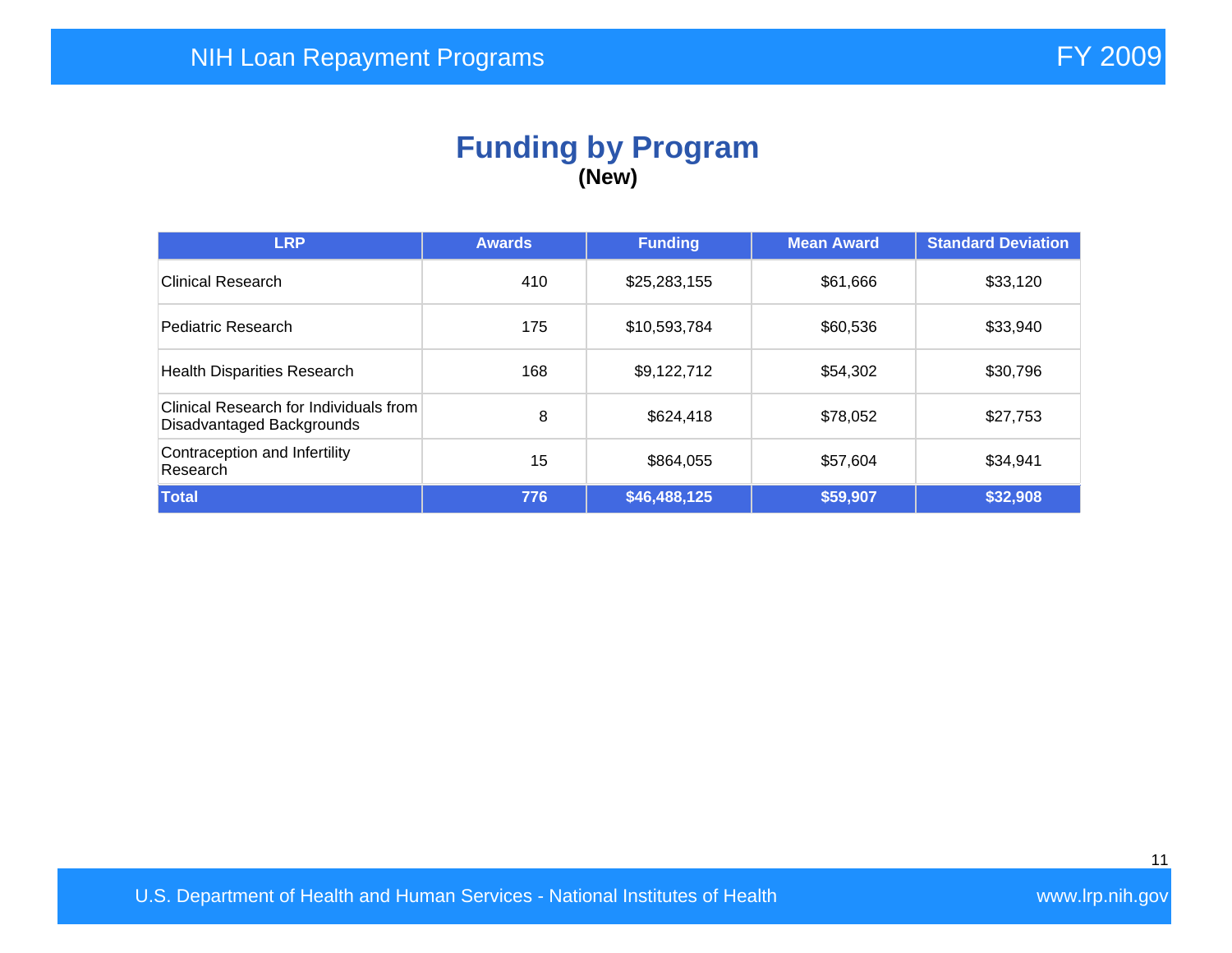#### **Funding by Program (New)**

| <b>LRP</b>                                                          | <b>Awards</b> | <b>Funding</b> | <b>Mean Award</b> | <b>Standard Deviation</b> |
|---------------------------------------------------------------------|---------------|----------------|-------------------|---------------------------|
| Clinical Research                                                   | 410           | \$25,283,155   | \$61,666          | \$33,120                  |
| Pediatric Research                                                  | 175           | \$10,593,784   | \$60,536          | \$33,940                  |
| <b>Health Disparities Research</b>                                  | 168           | \$9,122,712    | \$54,302          | \$30,796                  |
| Clinical Research for Individuals from<br>Disadvantaged Backgrounds | 8             | \$624,418      | \$78,052          | \$27,753                  |
| Contraception and Infertility<br>Research                           | 15            | \$864,055      | \$57,604          | \$34,941                  |
| Total                                                               | 776           | \$46,488,125   | \$59,907          | \$32,908                  |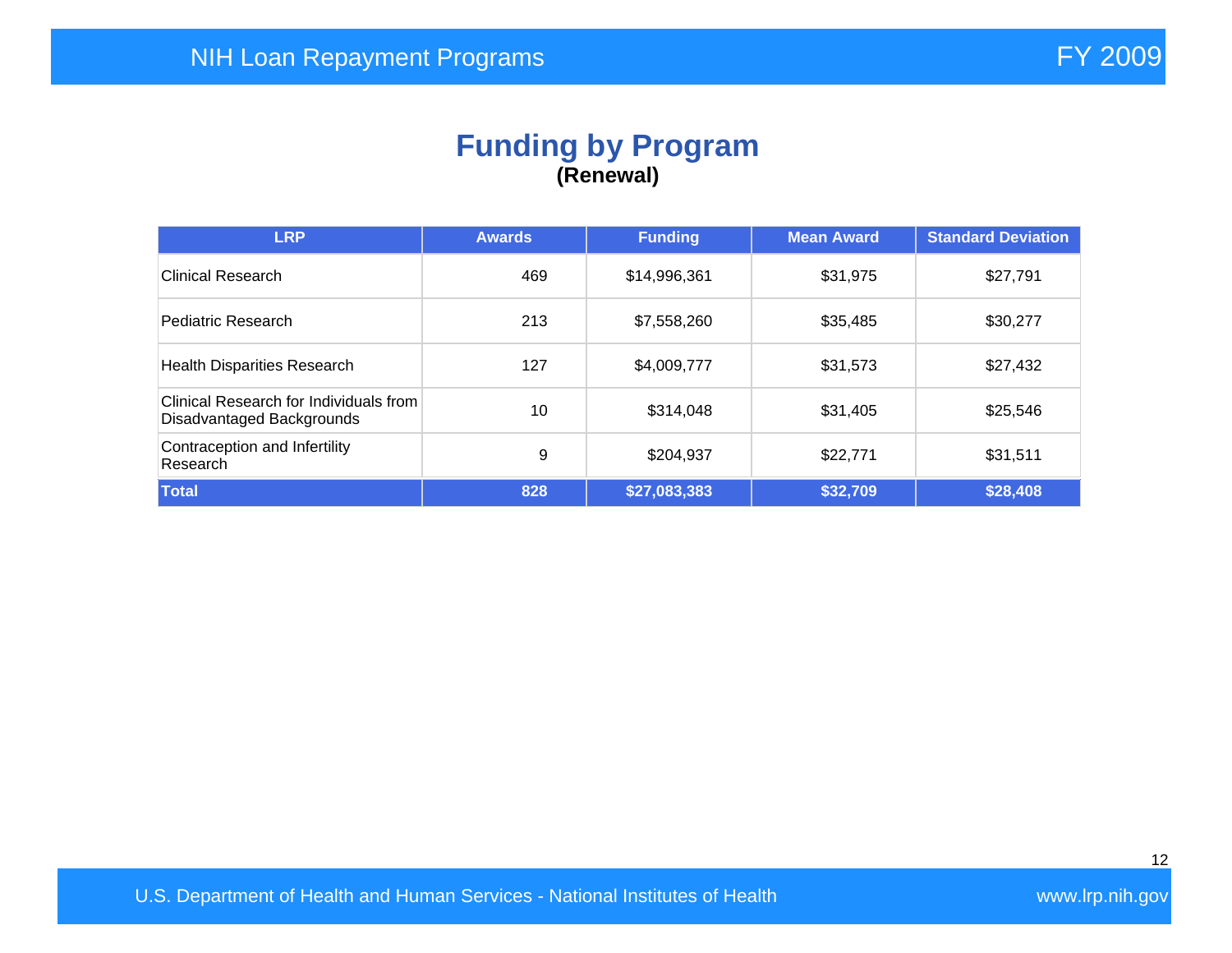## **Funding by Program (Renewal)**

| <b>LRP</b>                                                          | <b>Awards</b> | <b>Funding</b> | <b>Mean Award</b> | <b>Standard Deviation</b> |
|---------------------------------------------------------------------|---------------|----------------|-------------------|---------------------------|
| Clinical Research                                                   | 469           | \$14,996,361   | \$31,975          | \$27,791                  |
| Pediatric Research                                                  | 213           | \$7,558,260    | \$35,485          | \$30,277                  |
| <b>Health Disparities Research</b>                                  | 127           | \$4,009,777    | \$31,573          | \$27,432                  |
| Clinical Research for Individuals from<br>Disadvantaged Backgrounds | 10            | \$314,048      | \$31,405          | \$25,546                  |
| Contraception and Infertility<br>Research                           | 9             | \$204,937      | \$22,771          | \$31,511                  |
| Total                                                               | 828           | \$27,083,383   | \$32,709          | \$28,408                  |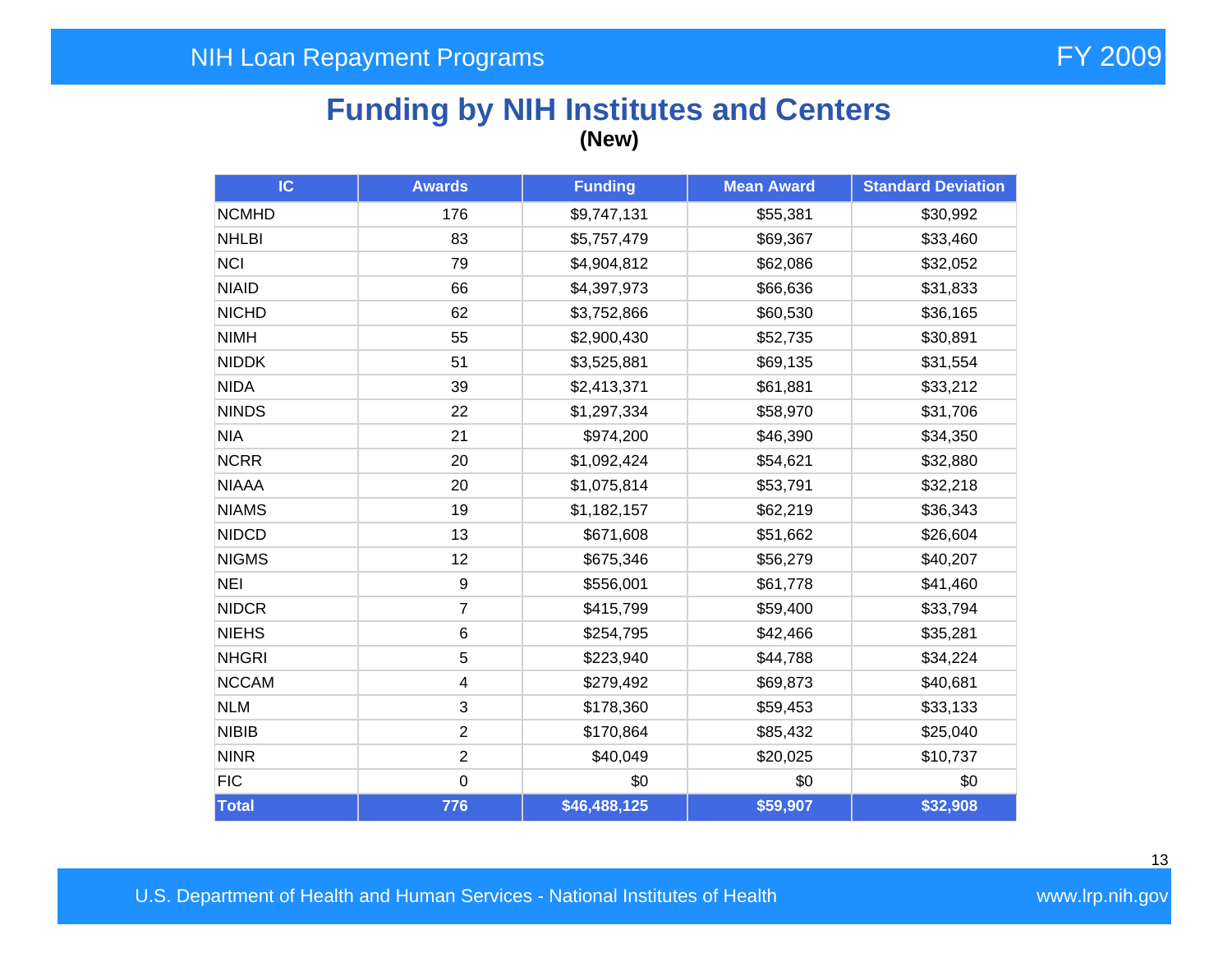## **Funding by NIH Institutes and Centers (New)**

| IC           | <b>Awards</b>           | <b>Funding</b> | <b>Mean Award</b> | <b>Standard Deviation</b> |
|--------------|-------------------------|----------------|-------------------|---------------------------|
| <b>NCMHD</b> | 176                     | \$9,747,131    | \$55,381          | \$30,992                  |
| <b>NHLBI</b> | 83                      | \$5,757,479    | \$69,367          | \$33,460                  |
| <b>NCI</b>   | 79                      | \$4,904,812    | \$62,086          | \$32,052                  |
| <b>NIAID</b> | 66                      | \$4,397,973    | \$66,636          | \$31,833                  |
| <b>NICHD</b> | 62                      | \$3,752,866    | \$60,530          | \$36,165                  |
| <b>NIMH</b>  | 55                      | \$2,900,430    | \$52,735          | \$30,891                  |
| <b>NIDDK</b> | 51                      | \$3,525,881    | \$69,135          | \$31,554                  |
| <b>NIDA</b>  | 39                      | \$2,413,371    | \$61,881          | \$33,212                  |
| <b>NINDS</b> | 22                      | \$1,297,334    | \$58,970          | \$31,706                  |
| <b>NIA</b>   | 21                      | \$974,200      | \$46,390          | \$34,350                  |
| <b>NCRR</b>  | 20                      | \$1,092,424    | \$54,621          | \$32,880                  |
| <b>NIAAA</b> | 20                      | \$1,075,814    | \$53,791          | \$32,218                  |
| <b>NIAMS</b> | 19                      | \$1,182,157    | \$62,219          | \$36,343                  |
| <b>NIDCD</b> | 13                      | \$671,608      | \$51,662          | \$26,604                  |
| <b>NIGMS</b> | 12                      | \$675,346      | \$56,279          | \$40,207                  |
| <b>NEI</b>   | 9                       | \$556,001      | \$61,778          | \$41,460                  |
| <b>NIDCR</b> | $\overline{7}$          | \$415,799      | \$59,400          | \$33,794                  |
| <b>NIEHS</b> | 6                       | \$254,795      | \$42,466          | \$35,281                  |
| <b>NHGRI</b> | 5                       | \$223,940      | \$44,788          | \$34,224                  |
| <b>NCCAM</b> | $\overline{\mathbf{4}}$ | \$279,492      | \$69,873          | \$40,681                  |
| <b>NLM</b>   | 3                       | \$178,360      | \$59,453          | \$33,133                  |
| <b>NIBIB</b> | $\overline{2}$          | \$170,864      | \$85,432          | \$25,040                  |
| <b>NINR</b>  | $\overline{2}$          | \$40,049       | \$20,025          | \$10,737                  |
| <b>FIC</b>   | $\mathbf 0$             | \$0            | \$0               | \$0                       |
| <b>Total</b> | 776                     | \$46,488,125   | \$59,907          | \$32,908                  |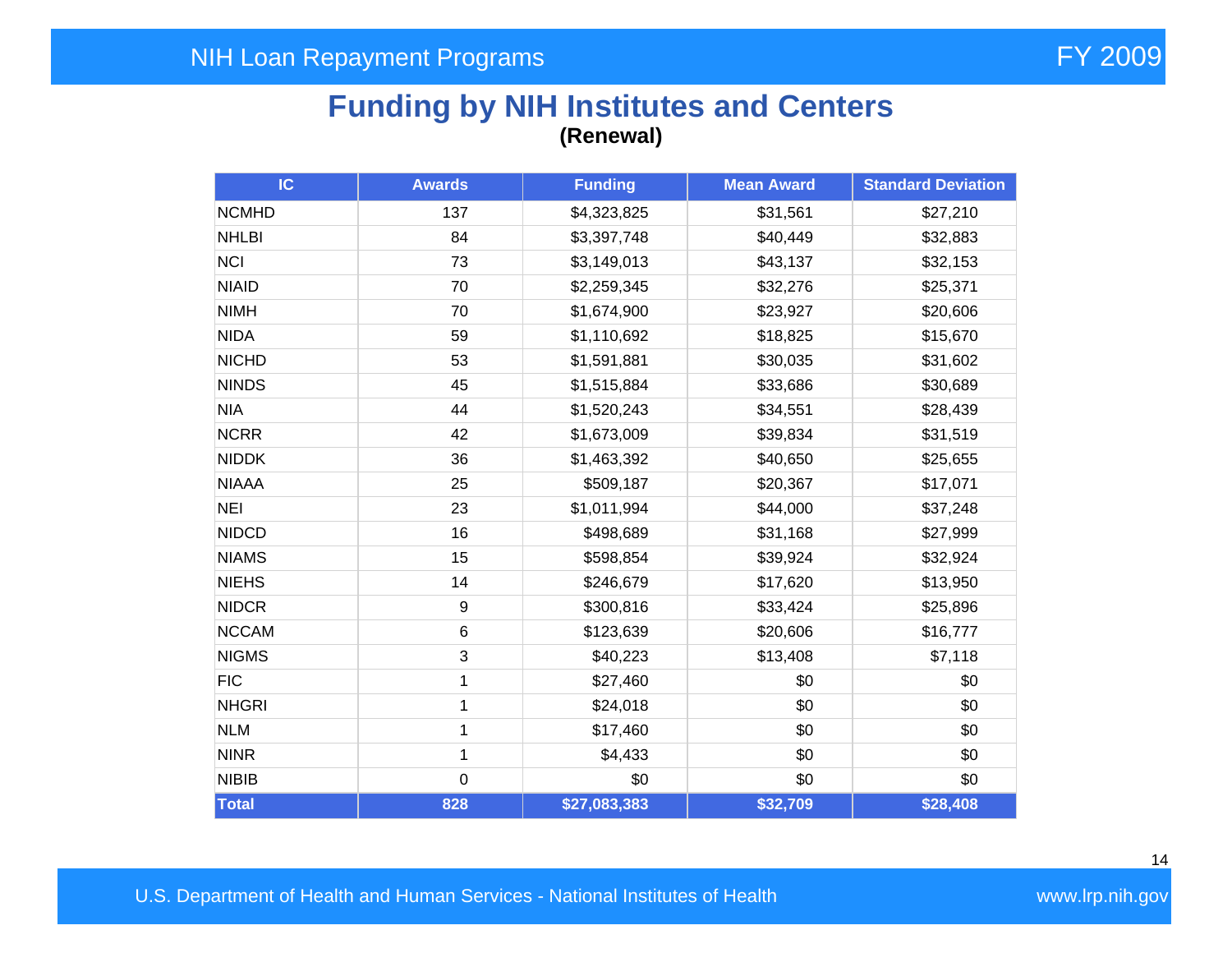## **Funding by NIH Institutes and Centers (Renewal)**

| IC           | <b>Awards</b> | <b>Funding</b> | <b>Mean Award</b> | <b>Standard Deviation</b> |
|--------------|---------------|----------------|-------------------|---------------------------|
| <b>NCMHD</b> | 137           | \$4,323,825    | \$31,561          | \$27,210                  |
| <b>NHLBI</b> | 84            | \$3,397,748    | \$40,449          | \$32,883                  |
| <b>NCI</b>   | 73            | \$3,149,013    | \$43,137          | \$32,153                  |
| <b>NIAID</b> | 70            | \$2,259,345    | \$32,276          | \$25,371                  |
| <b>NIMH</b>  | 70            | \$1,674,900    | \$23,927          | \$20,606                  |
| <b>NIDA</b>  | 59            | \$1,110,692    | \$18,825          | \$15,670                  |
| <b>NICHD</b> | 53            | \$1,591,881    | \$30,035          | \$31,602                  |
| <b>NINDS</b> | 45            | \$1,515,884    | \$33,686          | \$30,689                  |
| <b>NIA</b>   | 44            | \$1,520,243    | \$34,551          | \$28,439                  |
| <b>NCRR</b>  | 42            | \$1,673,009    | \$39,834          | \$31,519                  |
| <b>NIDDK</b> | 36            | \$1,463,392    | \$40,650          | \$25,655                  |
| <b>NIAAA</b> | 25            | \$509,187      | \$20,367          | \$17,071                  |
| <b>NEI</b>   | 23            | \$1,011,994    | \$44,000          | \$37,248                  |
| <b>NIDCD</b> | 16            | \$498,689      | \$31,168          | \$27,999                  |
| <b>NIAMS</b> | 15            | \$598,854      | \$39,924          | \$32,924                  |
| <b>NIEHS</b> | 14            | \$246,679      | \$17,620          | \$13,950                  |
| <b>NIDCR</b> | 9             | \$300,816      | \$33,424          | \$25,896                  |
| <b>NCCAM</b> | 6             | \$123,639      | \$20,606          | \$16,777                  |
| <b>NIGMS</b> | 3             | \$40,223       | \$13,408          | \$7,118                   |
| <b>FIC</b>   | 1             | \$27,460       | \$0               | \$0                       |
| <b>NHGRI</b> | $\mathbf{1}$  | \$24,018       | \$0               | \$0                       |
| <b>NLM</b>   | $\mathbf{1}$  | \$17,460       | \$0               | \$0                       |
| <b>NINR</b>  | $\mathbf 1$   | \$4,433        | \$0               | \$0                       |
| <b>NIBIB</b> | $\mathbf 0$   | \$0            | \$0               | \$0                       |
| <b>Total</b> | 828           | \$27,083,383   | \$32,709          | \$28,408                  |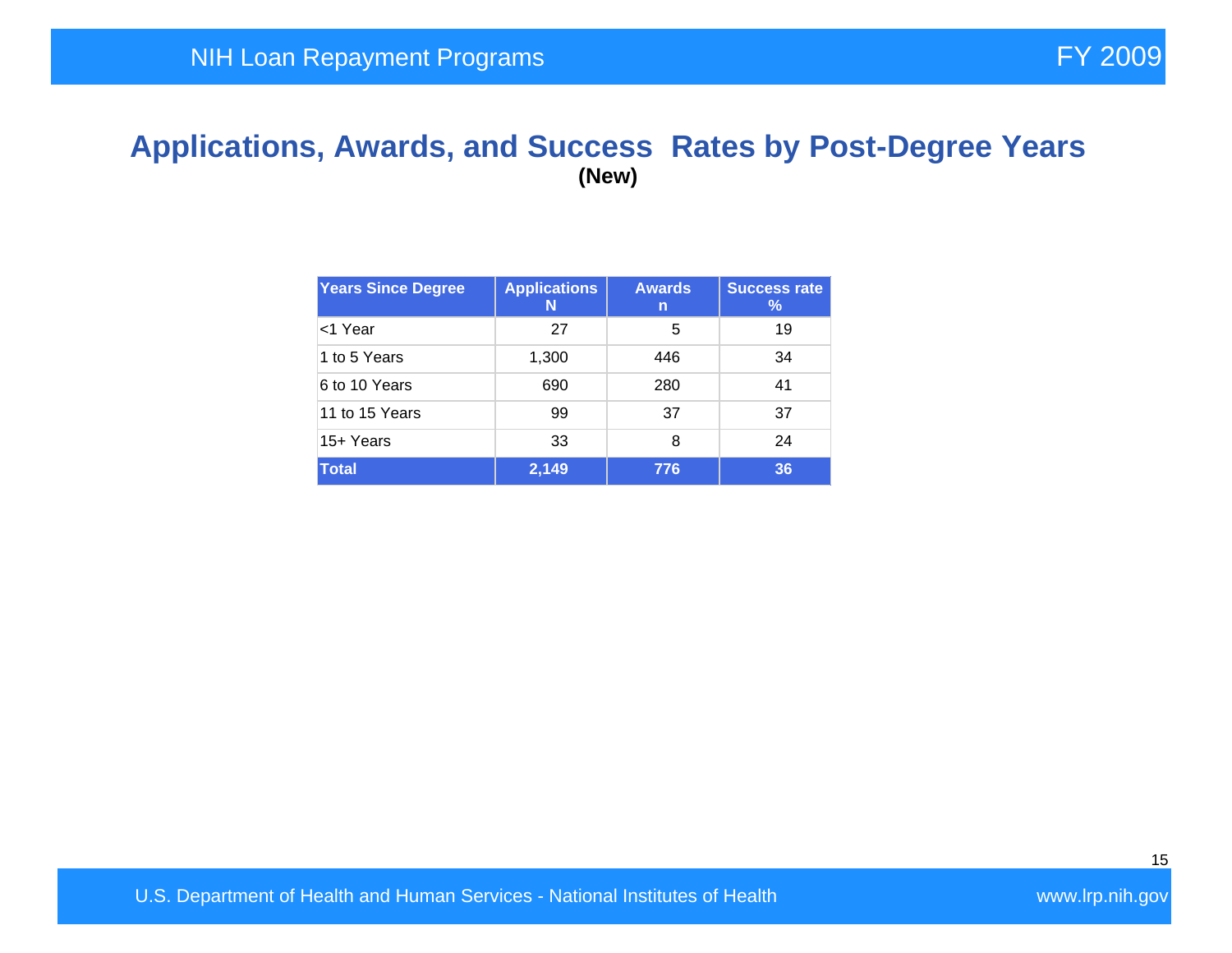#### **Applications, Awards, and Success Rates by Post-Degree Years (New)**

| <b>Years Since Degree</b> | <b>Applications</b><br>N | <b>Awards</b><br>n | <b>Success rate</b><br>℅ |
|---------------------------|--------------------------|--------------------|--------------------------|
| <1 Year                   | 27                       | 5                  | 19                       |
| 1 to 5 Years              | 1,300                    | 446                | 34                       |
| 6 to 10 Years             | 690                      | 280                | 41                       |
| 11 to 15 Years            | 99                       | 37                 | 37                       |
| 15+ Years                 | 33                       | 8                  | 24                       |
| Total                     | 2,149                    | 776                | 36                       |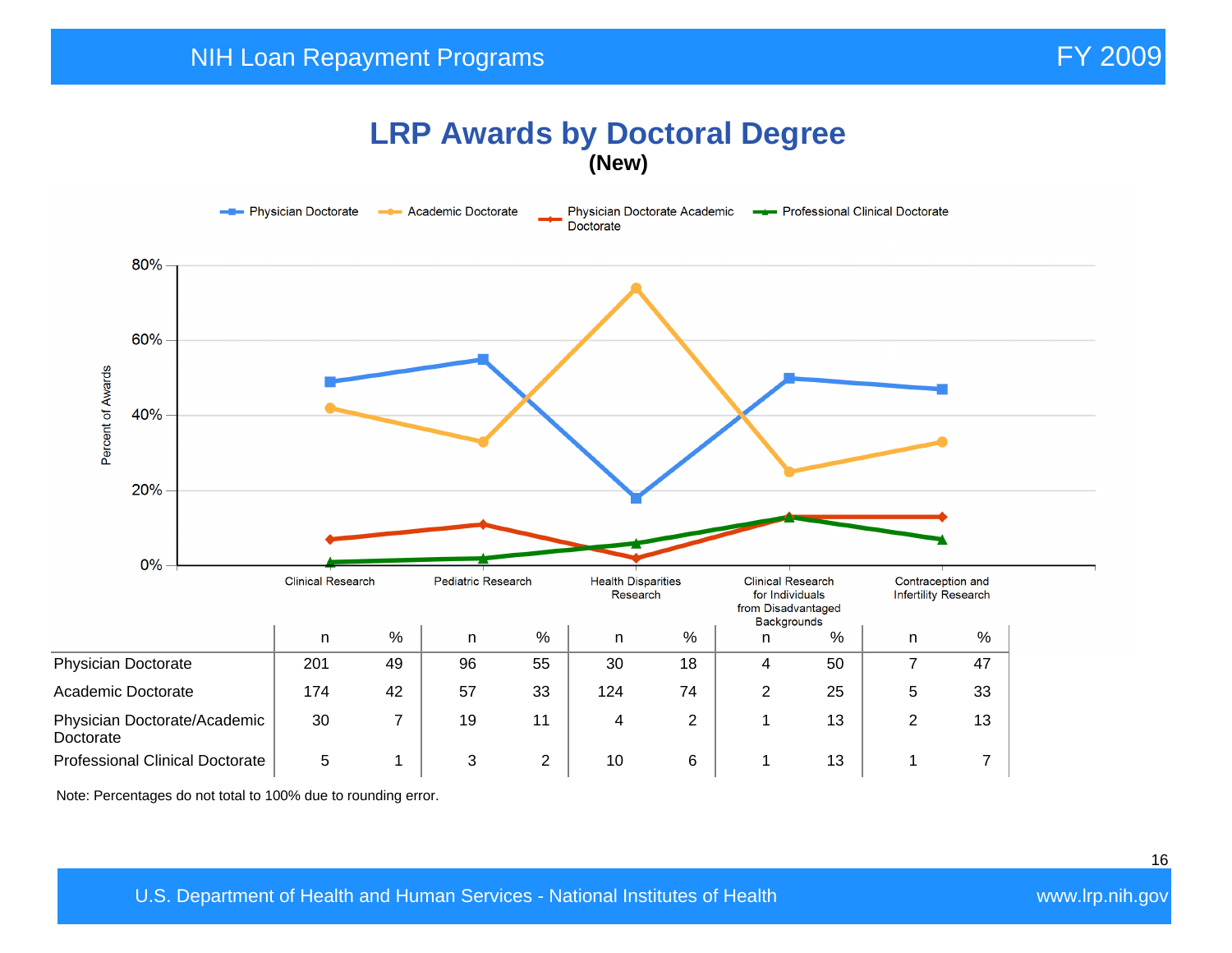#### **LRP Awards by Doctoral Degree (New)**



Note: Percentages do not total to 100% due to rounding error.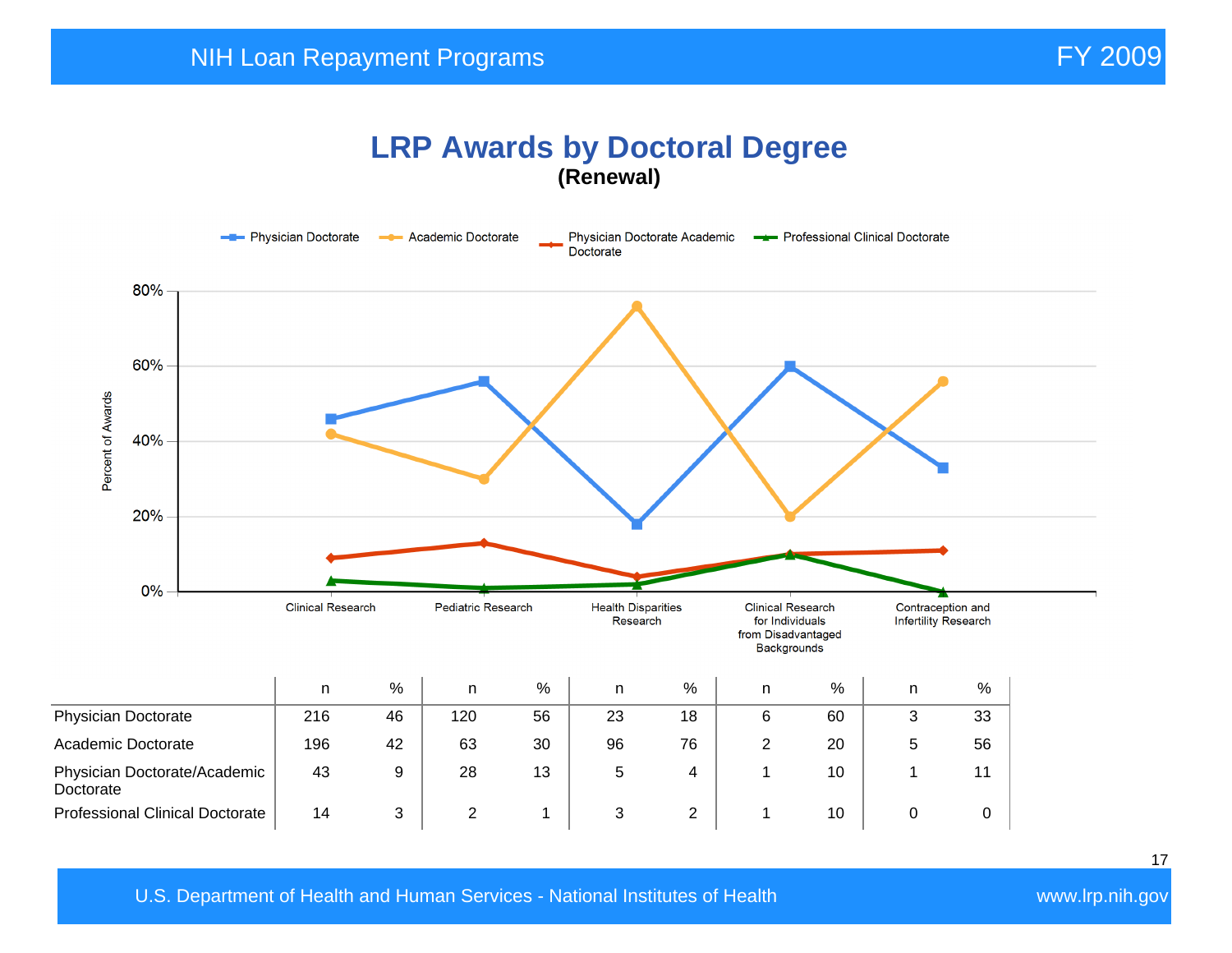#### **LRP Awards by Doctoral Degree (Renewal)**

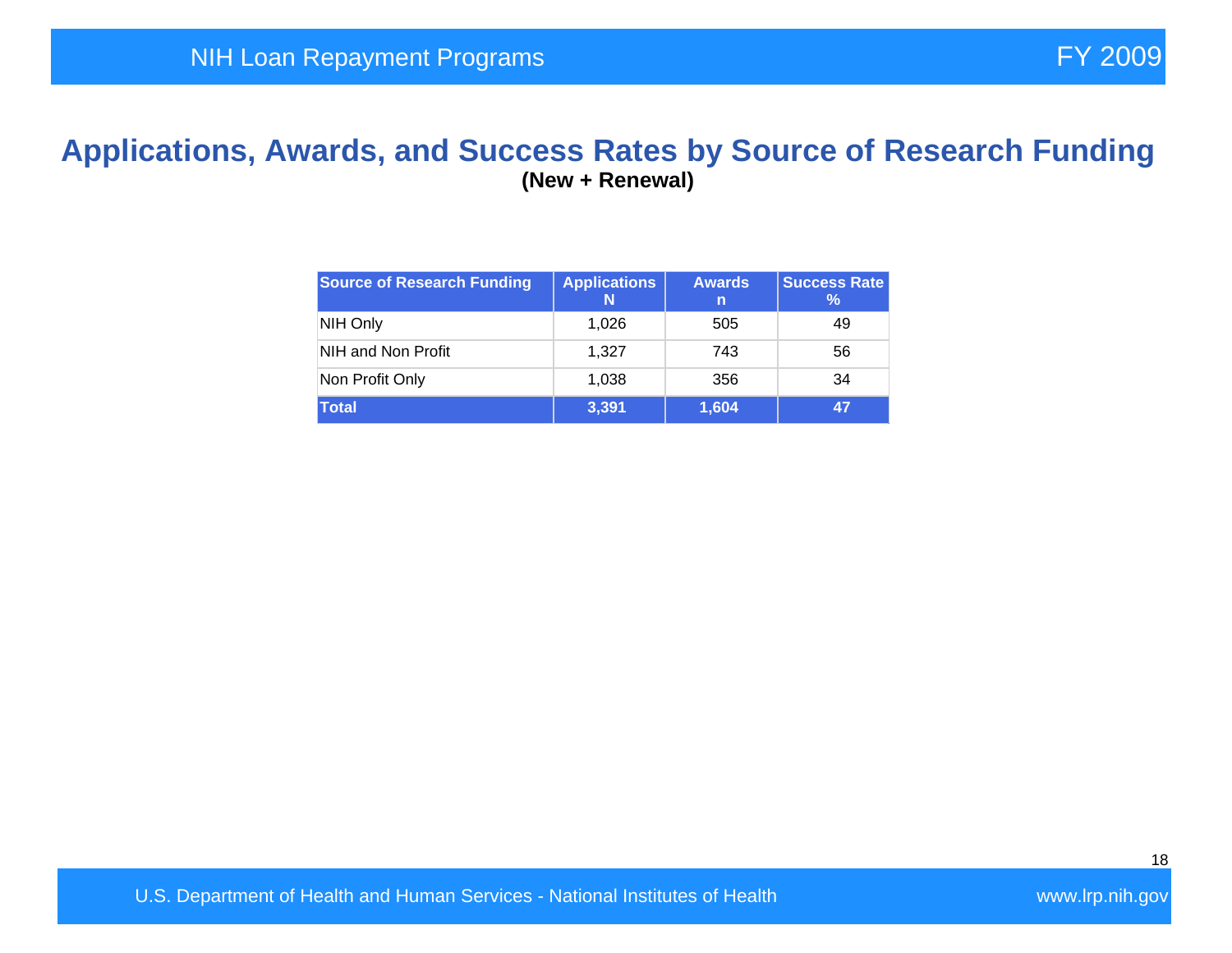#### **Applications, Awards, and Success Rates by Source of Research Funding (New + Renewal)**

| <b>Source of Research Funding</b> | <b>Applications</b><br>N | <b>Awards</b><br>n | <b>Success Rate</b><br>℅ |
|-----------------------------------|--------------------------|--------------------|--------------------------|
| NIH Only                          | 1,026                    | 505                | 49                       |
| NIH and Non Profit                | 1.327                    | 743                | 56                       |
| Non Profit Only                   | 1,038                    | 356                | 34                       |
| <b>Total</b>                      | 3,391                    | 1,604              | 47                       |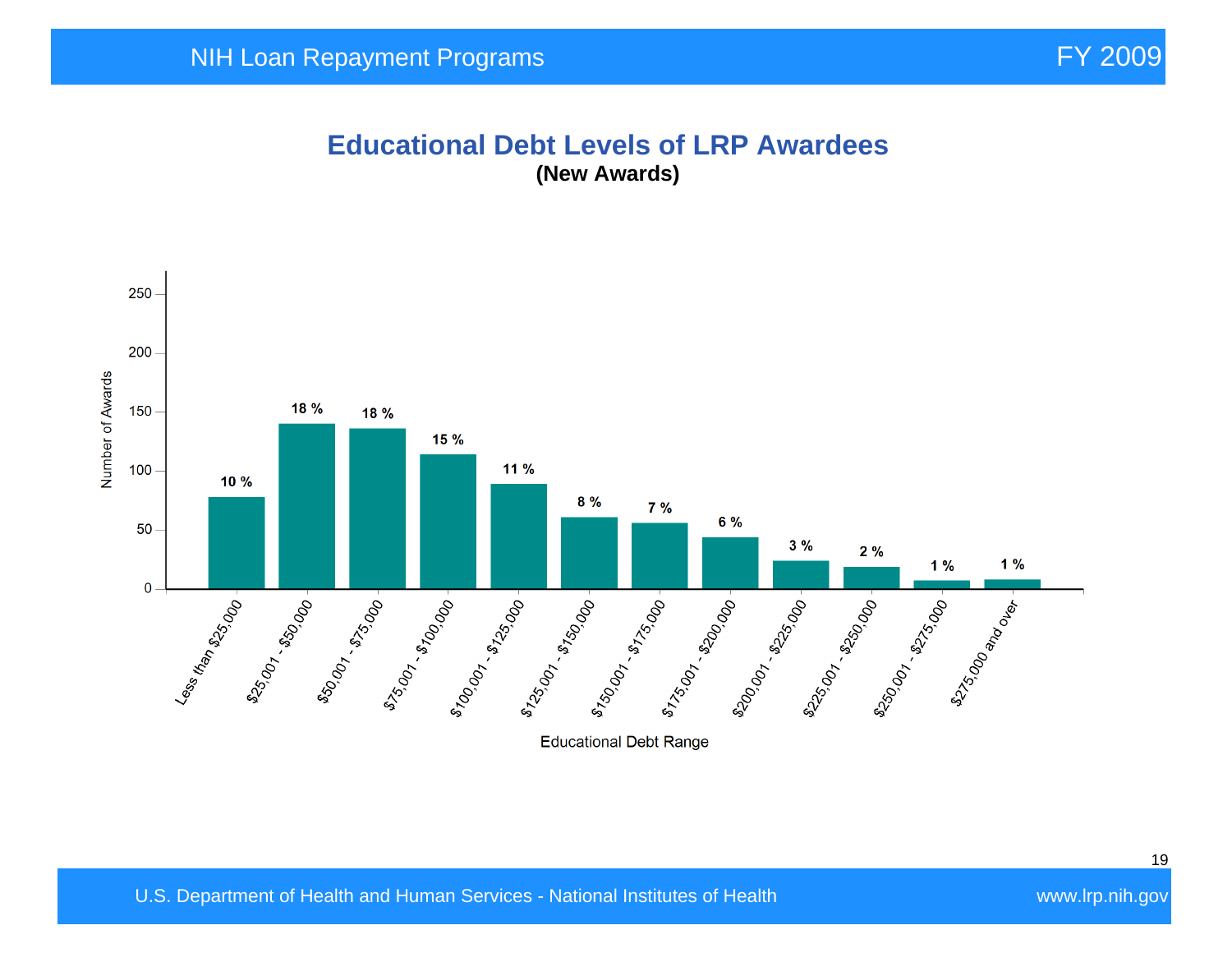#### **Educational Debt Levels of LRP Awardees (New Awards)**

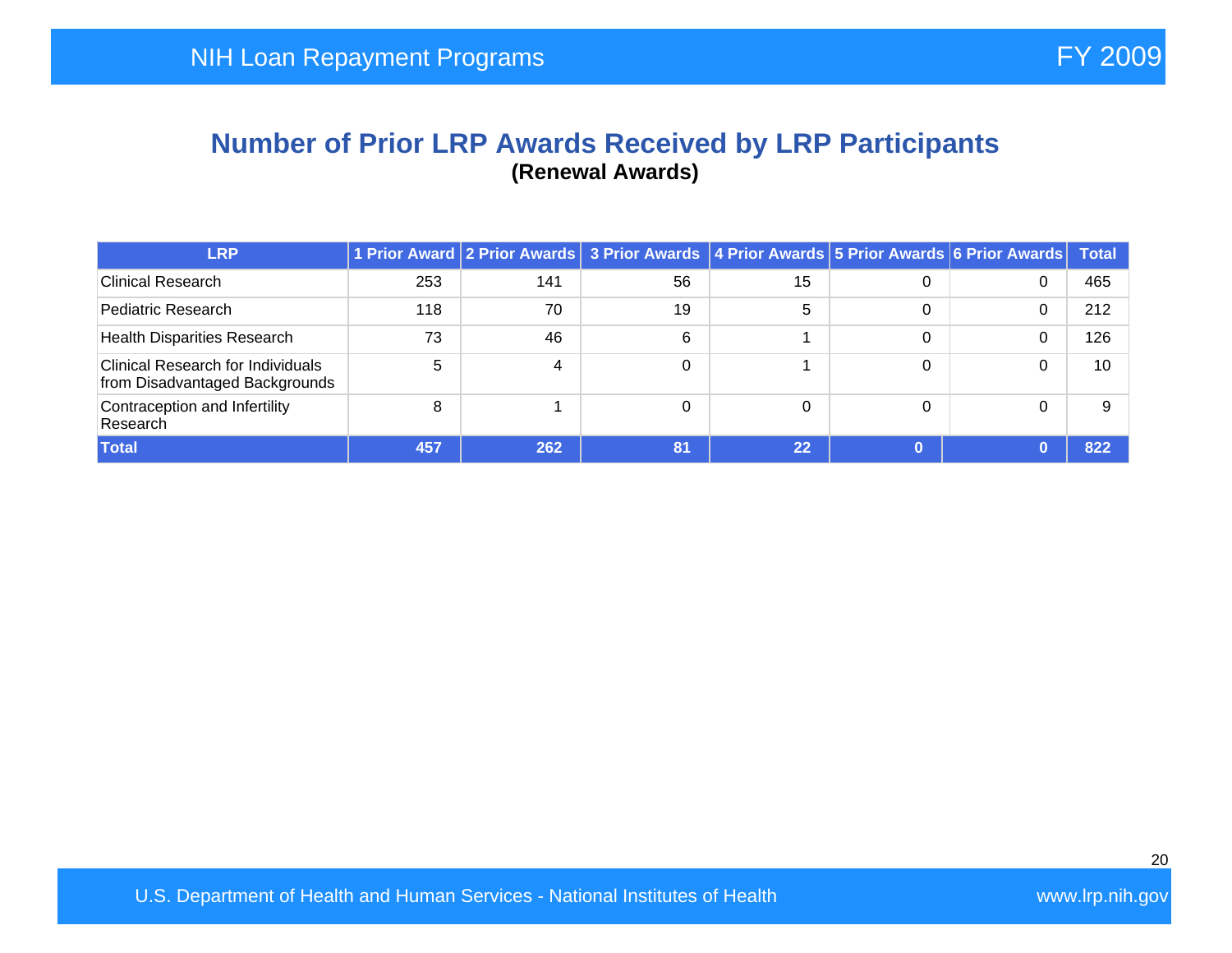#### **Number of Prior LRP Awards Received by LRP Participants (Renewal Awards)**

| <b>LRP</b>                                                                 |     |                | 1 Prior Award 2 Prior Awards 3 Prior Awards 4 Prior Awards 5 Prior Awards 6 Prior Awards Total |          |   |   |     |
|----------------------------------------------------------------------------|-----|----------------|------------------------------------------------------------------------------------------------|----------|---|---|-----|
| <b>Clinical Research</b>                                                   | 253 | 141            | 56                                                                                             | 15       | 0 | 0 | 465 |
| Pediatric Research                                                         | 118 | 70             | 19                                                                                             | 5        | 0 |   | 212 |
| <b>Health Disparities Research</b>                                         | 73  | 46             | 6                                                                                              |          | 0 |   | 126 |
| <b>Clinical Research for Individuals</b><br>from Disadvantaged Backgrounds | 5   | $\overline{4}$ |                                                                                                |          | 0 |   | 10  |
| Contraception and Infertility<br>Research                                  | 8   |                |                                                                                                | $\Omega$ | 0 |   |     |
| <b>Total</b>                                                               | 457 | 262            | 81                                                                                             | 22       |   |   | 822 |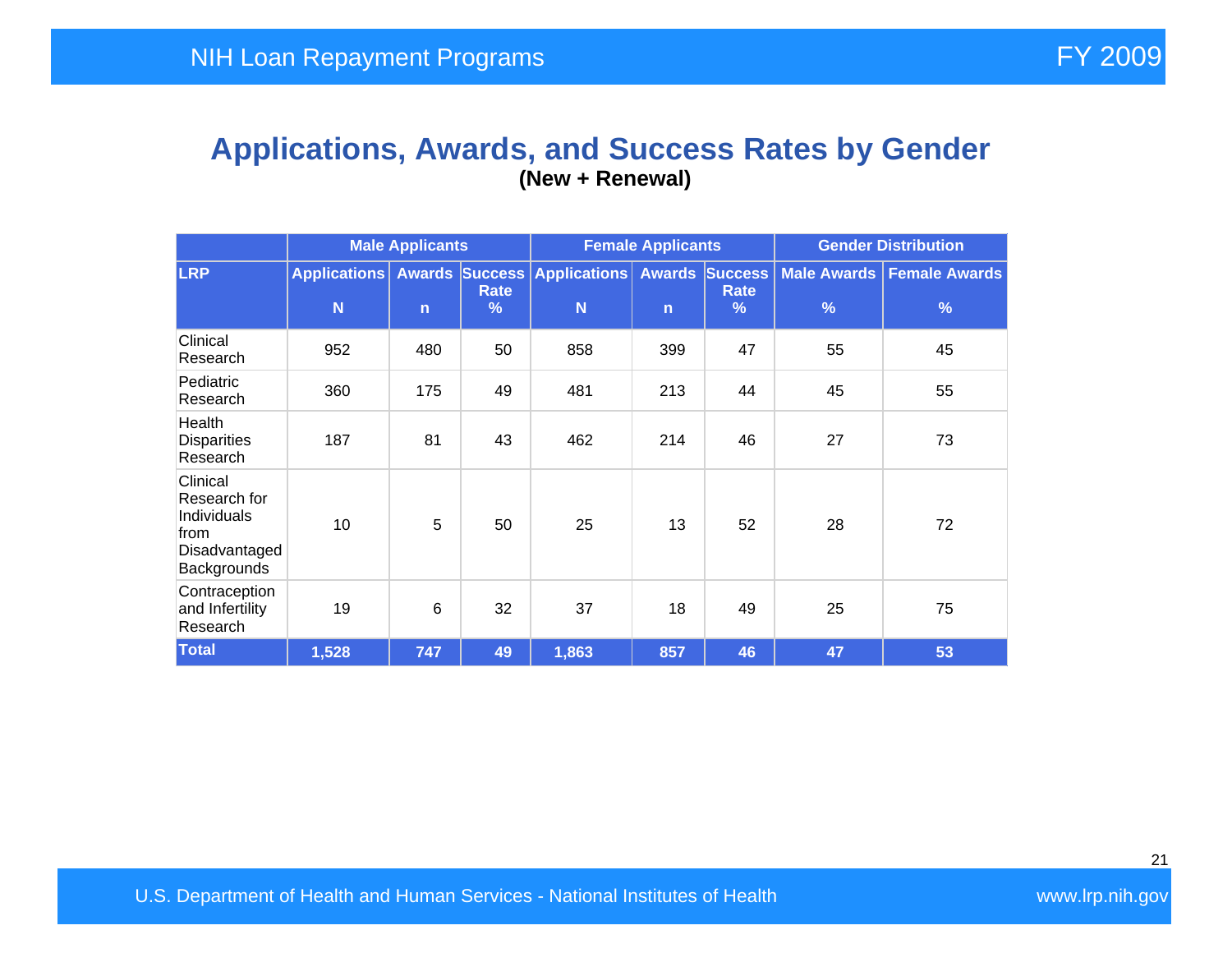#### **Applications, Awards, and Success Rates by Gender (New + Renewal)**

|                                                                                 | <b>Male Applicants</b> |              |                       | <b>Female Applicants</b>                      |              |                                           | <b>Gender Distribution</b> |                                    |  |
|---------------------------------------------------------------------------------|------------------------|--------------|-----------------------|-----------------------------------------------|--------------|-------------------------------------------|----------------------------|------------------------------------|--|
| <b>LRP</b>                                                                      | N                      | $\mathsf{n}$ | Rate<br>$\frac{9}{6}$ | Applications Awards Success Applications<br>N | $\mathsf{n}$ | <b>Awards Success</b><br><b>Rate</b><br>% | $\frac{9}{6}$              | Male Awards   Female Awards  <br>% |  |
| Clinical<br>Research                                                            | 952                    | 480          | 50                    | 858                                           | 399          | 47                                        | 55                         | 45                                 |  |
| Pediatric<br>Research                                                           | 360                    | 175          | 49                    | 481                                           | 213          | 44                                        | 45                         | 55                                 |  |
| Health<br><b>Disparities</b><br>Research                                        | 187                    | 81           | 43                    | 462                                           | 214          | 46                                        | 27                         | 73                                 |  |
| Clinical<br>Research for<br>Individuals<br>from<br>Disadvantaged<br>Backgrounds | 10                     | 5            | 50                    | 25                                            | 13           | 52                                        | 28                         | 72                                 |  |
| Contraception<br>and Infertility<br>Research                                    | 19                     | 6            | 32                    | 37                                            | 18           | 49                                        | 25                         | 75                                 |  |
| <b>Total</b>                                                                    | 1,528                  | 747          | 49                    | 1,863                                         | 857          | 46                                        | 47                         | 53                                 |  |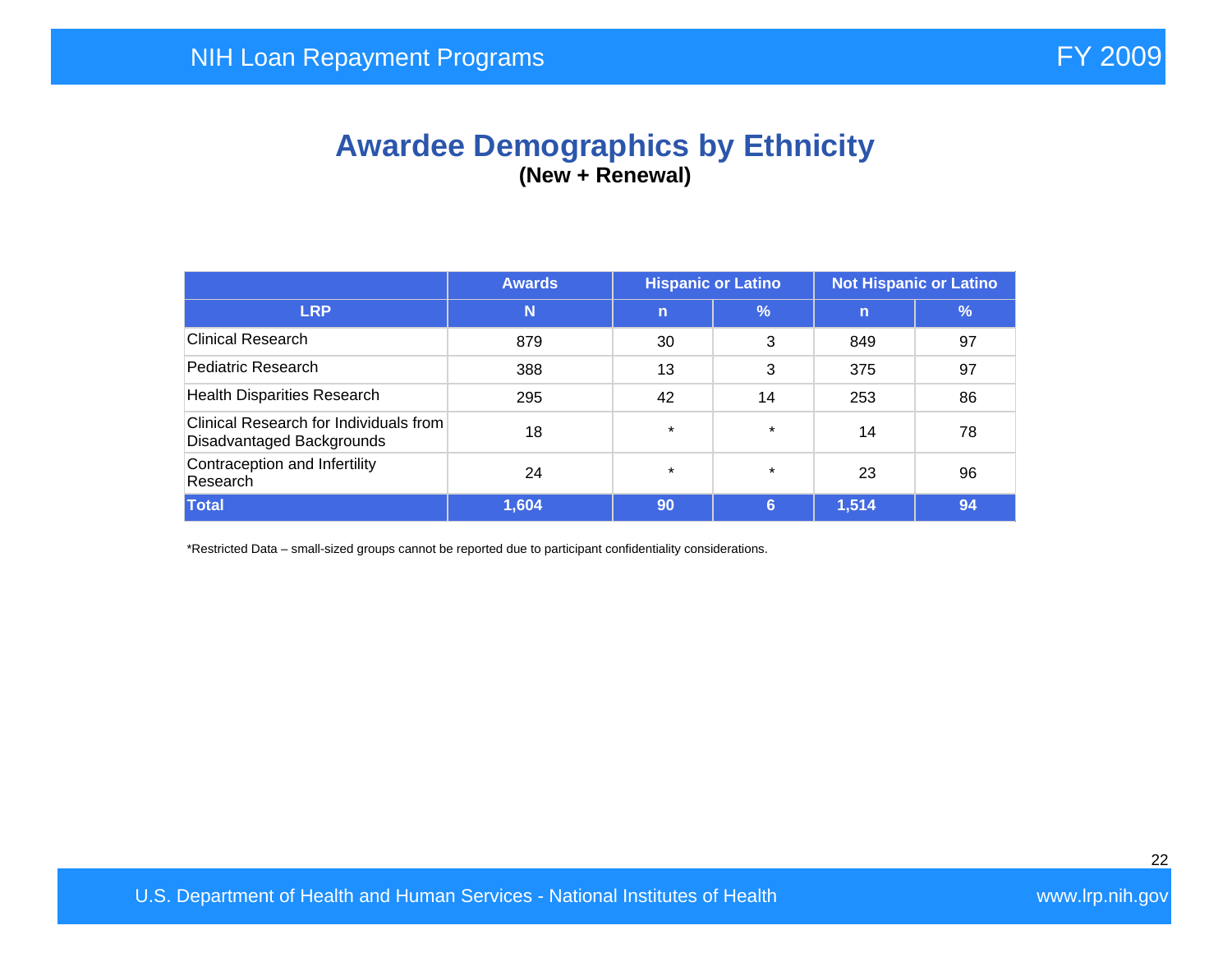## **Awardee Demographics by Ethnicity (New + Renewal)**

|                                                                     | <b>Hispanic or Latino</b><br><b>Not Hispanic or Latino</b><br><b>Awards</b> |             |               |       |    |
|---------------------------------------------------------------------|-----------------------------------------------------------------------------|-------------|---------------|-------|----|
| <b>LRP</b>                                                          | N                                                                           | $\mathbf n$ | $\frac{9}{6}$ | n     | %  |
| <b>Clinical Research</b>                                            | 879                                                                         | 30          | 3             | 849   | 97 |
| Pediatric Research                                                  | 388                                                                         | 13          | 3             | 375   | 97 |
| <b>Health Disparities Research</b>                                  | 295                                                                         | 42          | 14            | 253   | 86 |
| Clinical Research for Individuals from<br>Disadvantaged Backgrounds | 18                                                                          | $\star$     | $\star$       | 14    | 78 |
| Contraception and Infertility<br>Research                           | 24                                                                          | $\star$     | $\star$       | 23    | 96 |
| <b>Total</b>                                                        | 1,604                                                                       | 90          | 6             | 1,514 | 94 |

\*Restricted Data – small-sized groups cannot be reported due to participant confidentiality considerations.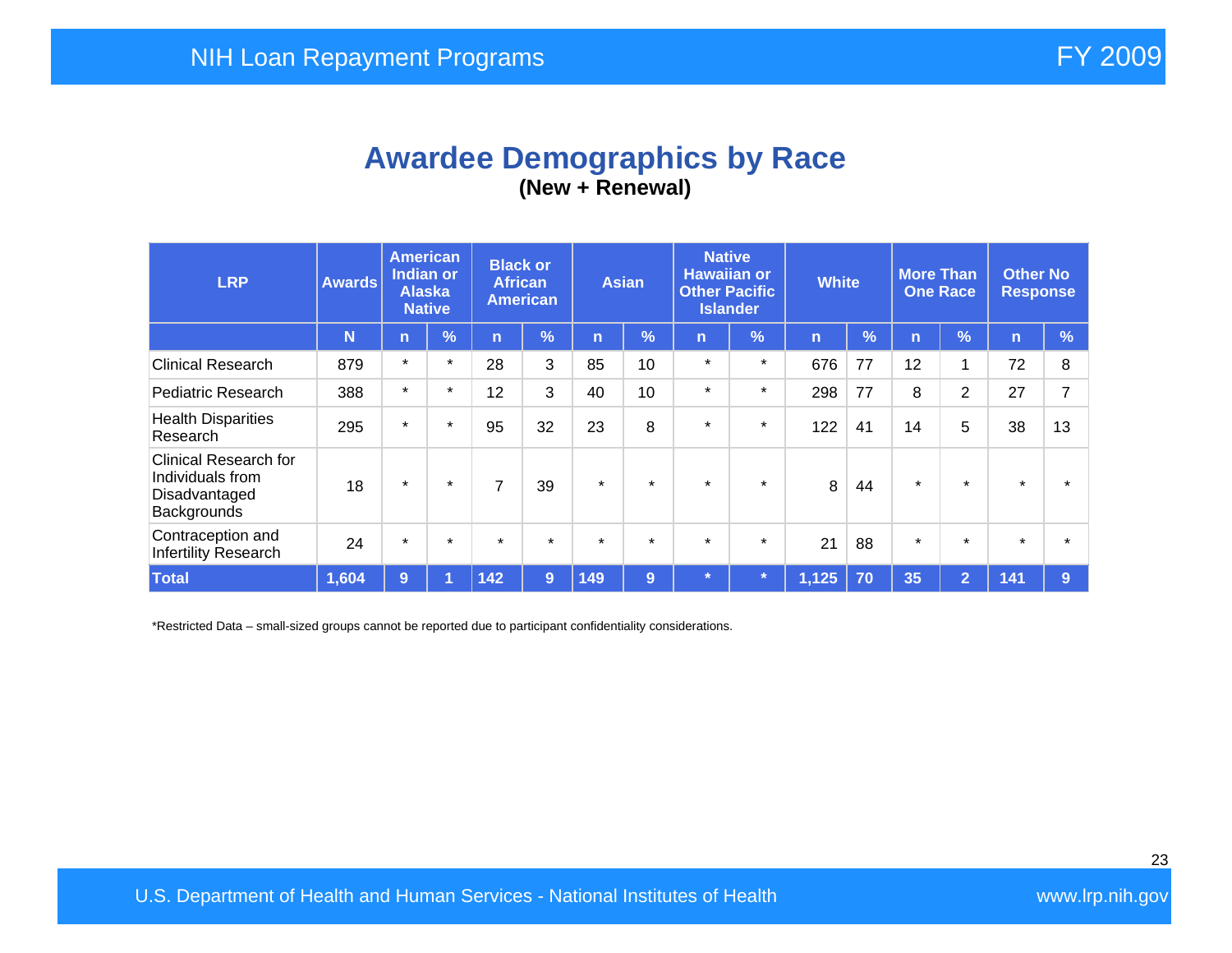## **Awardee Demographics by Race (New + Renewal)**

| <b>LRP</b>                                                                       | <b>Awards</b> | <b>American</b><br><b>Indian or</b><br><b>Alaska</b><br><b>Native</b> |            | <b>Black or</b><br><b>African</b><br><b>American</b> |         | <b>Asian</b> |            | <b>Native</b><br><b>Hawaiian or</b><br><b>Other Pacific</b><br><b>Islander</b> |               | <b>White</b> |               | <b>More Than</b><br><b>One Race</b> |                | <b>Other No</b><br><b>Response</b> |               |
|----------------------------------------------------------------------------------|---------------|-----------------------------------------------------------------------|------------|------------------------------------------------------|---------|--------------|------------|--------------------------------------------------------------------------------|---------------|--------------|---------------|-------------------------------------|----------------|------------------------------------|---------------|
|                                                                                  | N             | $\mathsf{n}$                                                          | $\sqrt{2}$ | n                                                    | %       | n            | $\sqrt{2}$ | $\mathsf{n}$                                                                   | $\frac{9}{6}$ | n            | $\frac{9}{6}$ | n                                   | $\frac{1}{2}$  | $\mathsf{n}$                       | $\frac{9}{6}$ |
| <b>Clinical Research</b>                                                         | 879           | $\star$                                                               | $\star$    | 28                                                   | 3       | 85           | 10         | $\star$                                                                        | $\star$       | 676          | 77            | 12                                  | 1              | 72                                 | 8             |
| <b>Pediatric Research</b>                                                        | 388           | $\star$                                                               | $\star$    | 12                                                   | 3       | 40           | 10         | $\star$                                                                        | $\star$       | 298          | 77            | 8                                   | 2              | 27                                 | 7             |
| <b>Health Disparities</b><br>Research                                            | 295           | $\star$                                                               | $\star$    | 95                                                   | 32      | 23           | 8          | $\star$                                                                        | $\star$       | 122          | 41            | 14                                  | 5              | 38                                 | 13            |
| <b>Clinical Research for</b><br>Individuals from<br>Disadvantaged<br>Backgrounds | 18            | $\star$                                                               | $\star$    | $\overline{7}$                                       | 39      | $\star$      | $\star$    | $\star$                                                                        | $\star$       | 8            | 44            | $\star$                             | $\star$        | $\star$                            |               |
| Contraception and<br>Infertility Research                                        | 24            | $\star$                                                               | $\star$    | $\star$                                              | $\star$ | $\star$      | $\star$    | $\star$                                                                        | $\star$       | 21           | 88            | $\star$                             | $\star$        | $\star$                            |               |
| <b>Total</b>                                                                     | 1,604         | 9                                                                     |            | 142                                                  | 9       | 149          | 9          | $\star$                                                                        |               | 1,125        | 70            | 35                                  | $\overline{2}$ | 141                                | 9             |

\*Restricted Data – small-sized groups cannot be reported due to participant confidentiality considerations.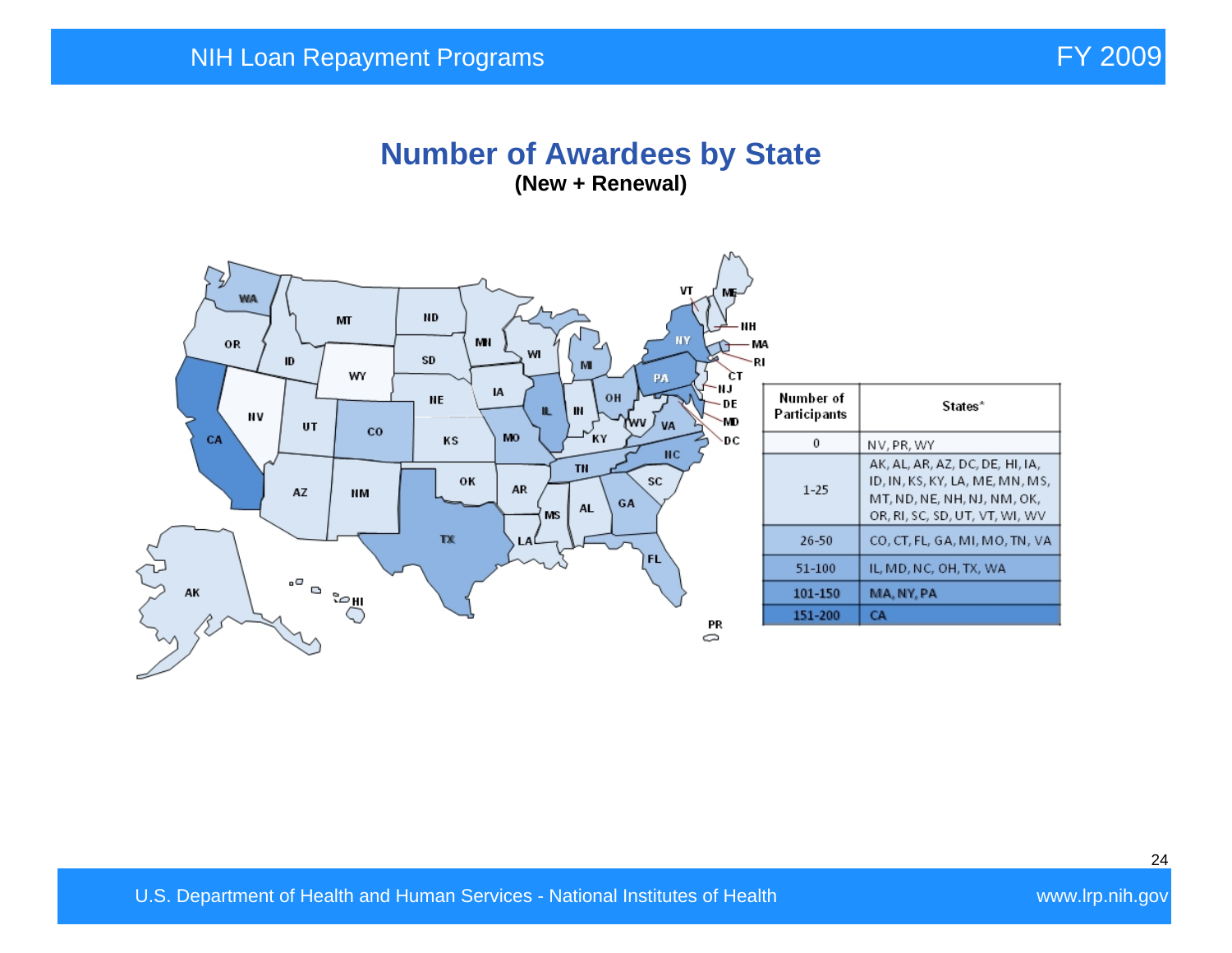#### **Number of Awardees by State (New + Renewal)**